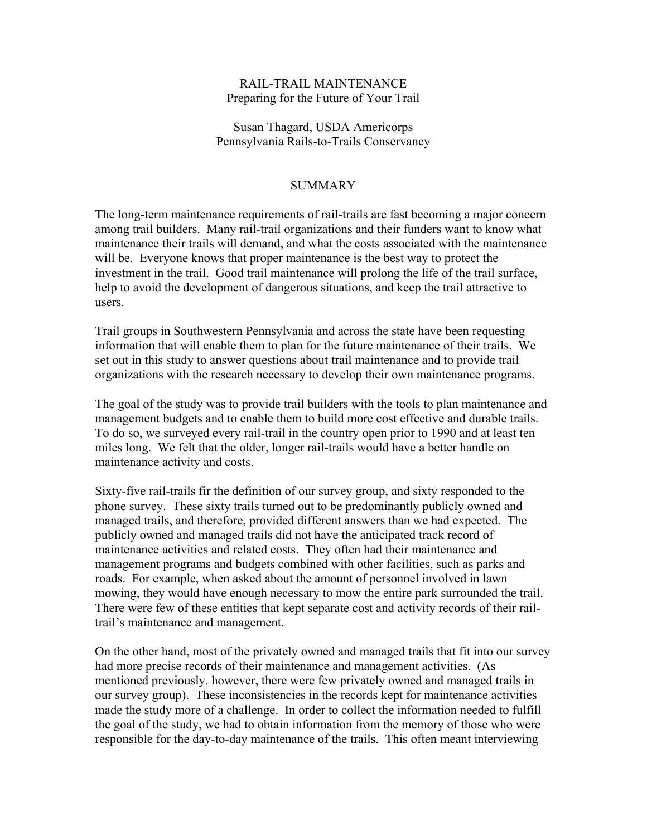# RAIL-TRAIL MAINTENANCE Preparing for the Future of Your Trail

# Susan Thagard, USDA Americorps Pennsylvania Rails-to-Trails Conservancy

# SUMMARY

The long-term maintenance requirements of rail-trails are fast becoming a major concern among trail builders. Many rail-trail organizations and their funders want to know what maintenance their trails will demand, and what the costs associated with the maintenance will be. Everyone knows that proper maintenance is the best way to protect the investment in the trail. Good trail maintenance will prolong the life of the trail surface, help to avoid the development of dangerous situations, and keep the trail attractive to users.

Trail groups in Southwestern Pennsylvania and across the state have been requesting information that will enable them to plan for the future maintenance of their trails. We set out in this study to answer questions about trail maintenance and to provide trail organizations with the research necessary to develop their own maintenance programs.

The goal of the study was to provide trail builders with the tools to plan maintenance and management budgets and to enable them to build more cost effective and durable trails. To do so, we surveyed every rail-trail in the country open prior to 1990 and at least ten miles long. We felt that the older, longer rail-trails would have a better handle on maintenance activity and costs.

Sixty-five rail-trails fir the definition of our survey group, and sixty responded to the phone survey. These sixty trails turned out to be predominantly publicly owned and managed trails, and therefore, provided different answers than we had expected. The publicly owned and managed trails did not have the anticipated track record of maintenance activities and related costs. They often had their maintenance and management programs and budgets combined with other facilities, such as parks and roads. For example, when asked about the amount of personnel involved in lawn mowing, they would have enough necessary to mow the entire park surrounded the trail. There were few of these entities that kept separate cost and activity records of their railtrail's maintenance and management.

On the other hand, most of the privately owned and managed trails that fit into our survey had more precise records of their maintenance and management activities. (As mentioned previously, however, there were few privately owned and managed trails in our survey group). These inconsistencies in the records kept for maintenance activities made the study more of a challenge. In order to collect the information needed to fulfill the goal of the study, we had to obtain information from the memory of those who were responsible for the day-to-day maintenance of the trails. This often meant interviewing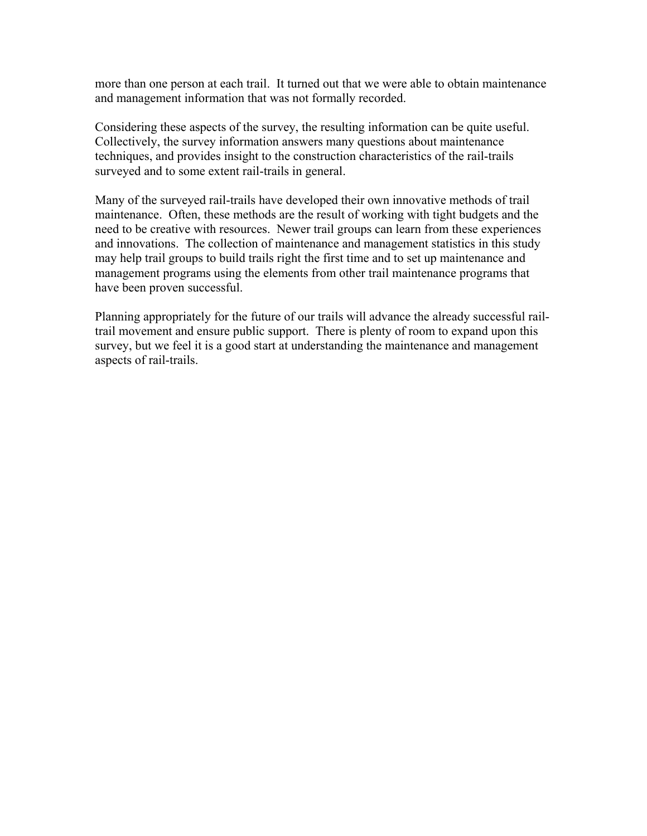more than one person at each trail. It turned out that we were able to obtain maintenance and management information that was not formally recorded.

Considering these aspects of the survey, the resulting information can be quite useful. Collectively, the survey information answers many questions about maintenance techniques, and provides insight to the construction characteristics of the rail-trails surveyed and to some extent rail-trails in general.

Many of the surveyed rail-trails have developed their own innovative methods of trail maintenance. Often, these methods are the result of working with tight budgets and the need to be creative with resources. Newer trail groups can learn from these experiences and innovations. The collection of maintenance and management statistics in this study may help trail groups to build trails right the first time and to set up maintenance and management programs using the elements from other trail maintenance programs that have been proven successful.

Planning appropriately for the future of our trails will advance the already successful railtrail movement and ensure public support. There is plenty of room to expand upon this survey, but we feel it is a good start at understanding the maintenance and management aspects of rail-trails.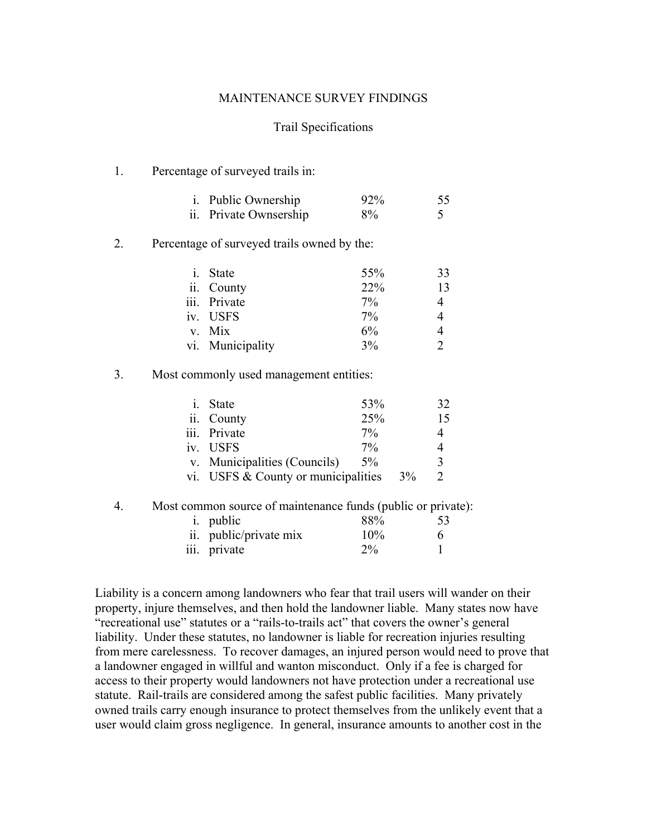#### MAINTENANCE SURVEY FINDINGS

#### Trail Specifications

#### 1. Percentage of surveyed trails in:

| <i>i.</i> Public Ownership | 92% | 55 |
|----------------------------|-----|----|
| ii. Private Ownsership     | 8%  |    |

#### 2. Percentage of surveyed trails owned by the:

| i. State         | 55%   | 33 |
|------------------|-------|----|
| ii. County       | 22%   | 13 |
| iii. Private     | $7\%$ | 4  |
| iv. USFS         | 7%    |    |
| v. Mix           | 6%    |    |
| vi. Municipality | 3%    |    |

# 3. Most commonly used management entities:

| $\dot{1}$ . | State                                 | 53%   |       | 32           |
|-------------|---------------------------------------|-------|-------|--------------|
|             | ii. County                            | 25%   |       | 15           |
|             | iii. Private                          | $7\%$ |       |              |
|             | iv. USFS                              | $7\%$ |       |              |
|             | v. Municipalities (Councils)          | $5\%$ |       | $\mathbf{R}$ |
|             | vi. USFS $&$ County or municipalities |       | $3\%$ |              |

#### 4. Most common source of maintenance funds (public or private):

| <i>i.</i> public       | 88%   | 53 |
|------------------------|-------|----|
| ii. public/private mix | 10%   | 6  |
| iii. private           | $2\%$ |    |

Liability is a concern among landowners who fear that trail users will wander on their property, injure themselves, and then hold the landowner liable. Many states now have "recreational use" statutes or a "rails-to-trails act" that covers the owner's general liability. Under these statutes, no landowner is liable for recreation injuries resulting from mere carelessness. To recover damages, an injured person would need to prove that a landowner engaged in willful and wanton misconduct. Only if a fee is charged for access to their property would landowners not have protection under a recreational use statute. Rail-trails are considered among the safest public facilities. Many privately owned trails carry enough insurance to protect themselves from the unlikely event that a user would claim gross negligence. In general, insurance amounts to another cost in the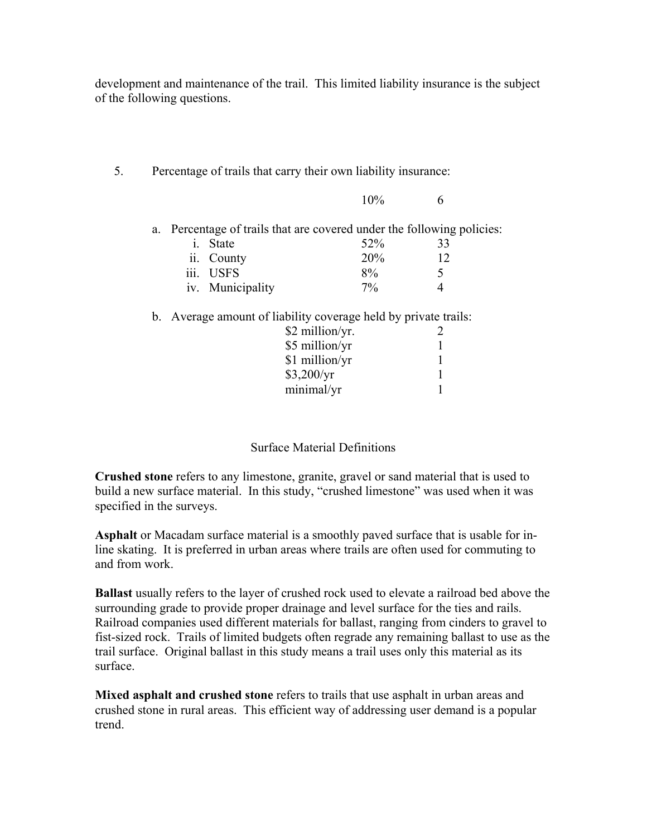development and maintenance of the trail. This limited liability insurance is the subject of the following questions.

5. Percentage of trails that carry their own liability insurance:

|  |                  | 10%                                                                    |    |  |
|--|------------------|------------------------------------------------------------------------|----|--|
|  |                  | a. Percentage of trails that are covered under the following policies: |    |  |
|  | i. State         | 52%                                                                    | 33 |  |
|  | ii. County       | 20%                                                                    | 12 |  |
|  | iii. USFS        | 8%                                                                     |    |  |
|  | iv. Municipality | 7%                                                                     |    |  |

b. Average amount of liability coverage held by private trails:

| \$2 million/yr. |  |
|-----------------|--|
| \$5 million/yr  |  |
| \$1 million/yr  |  |
| \$3,200/yr      |  |
| minimal/yr      |  |

# Surface Material Definitions

**Crushed stone** refers to any limestone, granite, gravel or sand material that is used to build a new surface material. In this study, "crushed limestone" was used when it was specified in the surveys.

**Asphalt** or Macadam surface material is a smoothly paved surface that is usable for inline skating. It is preferred in urban areas where trails are often used for commuting to and from work.

**Ballast** usually refers to the layer of crushed rock used to elevate a railroad bed above the surrounding grade to provide proper drainage and level surface for the ties and rails. Railroad companies used different materials for ballast, ranging from cinders to gravel to fist-sized rock. Trails of limited budgets often regrade any remaining ballast to use as the trail surface. Original ballast in this study means a trail uses only this material as its surface.

**Mixed asphalt and crushed stone** refers to trails that use asphalt in urban areas and crushed stone in rural areas. This efficient way of addressing user demand is a popular trend.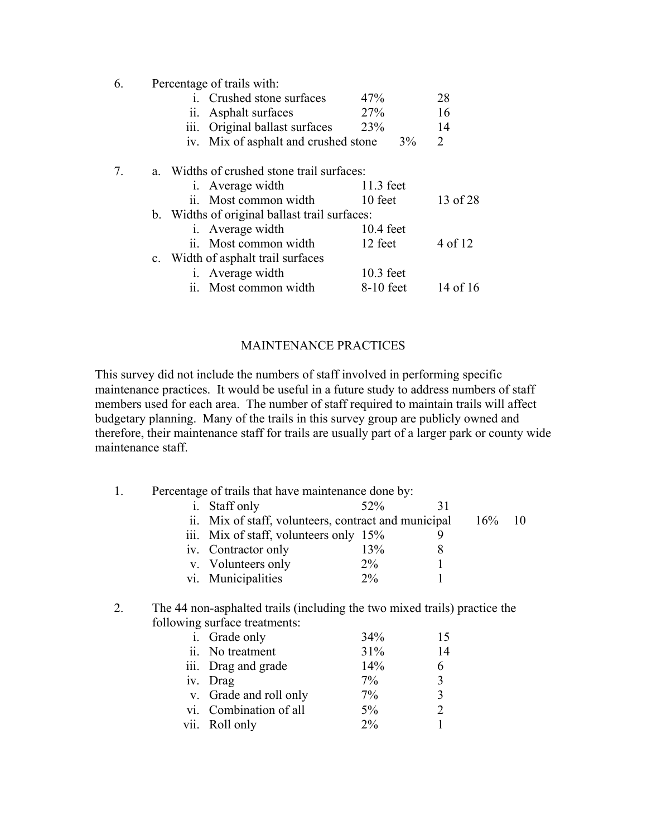| 6. | Percentage of trails with: |  |
|----|----------------------------|--|
|----|----------------------------|--|

|    |                                               | i. Crushed stone surfaces               | 47%         | 28       |
|----|-----------------------------------------------|-----------------------------------------|-------------|----------|
|    |                                               | ii. Asphalt surfaces                    | 27%         | 16       |
|    |                                               | iii. Original ballast surfaces          | 23%         | 14       |
|    |                                               | iv. Mix of asphalt and crushed stone    | $3\%$       | 2        |
| 7. | a.                                            | Widths of crushed stone trail surfaces: |             |          |
|    |                                               | <i>i.</i> Average width                 | $11.3$ feet |          |
|    |                                               | ii. Most common width                   | 10 feet     | 13 of 28 |
|    | b. Widths of original ballast trail surfaces: |                                         |             |          |
|    |                                               | <i>i.</i> Average width                 | $10.4$ feet |          |
|    |                                               | ii. Most common width                   | 12 feet     | 4 of 12  |
|    |                                               | c. Width of asphalt trail surfaces      |             |          |
|    |                                               | i. Average width                        | 10.3 feet   |          |
|    |                                               | ii. Most common width                   | 8-10 feet   | 14 of 16 |

# MAINTENANCE PRACTICES

This survey did not include the numbers of staff involved in performing specific maintenance practices. It would be useful in a future study to address numbers of staff members used for each area. The number of staff required to maintain trails will affect budgetary planning. Many of the trails in this survey group are publicly owned and therefore, their maintenance staff for trails are usually part of a larger park or county wide maintenance staff.

|  | Percentage of trails that have maintenance done by:  |       |     |  |
|--|------------------------------------------------------|-------|-----|--|
|  | Staff only                                           | 52%   |     |  |
|  | ii. Mix of staff, volunteers, contract and municipal |       | 16% |  |
|  | iii. Mix of staff, volunteers only 15%               |       |     |  |
|  | iv. Contractor only                                  | 13%   |     |  |
|  | v. Volunteers only                                   | $2\%$ |     |  |
|  | vi. Municipalities                                   | $2\%$ |     |  |
|  |                                                      |       |     |  |

# 2. The 44 non-asphalted trails (including the two mixed trails) practice the following surface treatments:

| i. Grade only          | 34%   | 15                          |
|------------------------|-------|-----------------------------|
| ii. No treatment       | 31%   | 14                          |
| iii. Drag and grade    | 14%   | 6                           |
| iv. Drag               | 7%    | 3                           |
| v. Grade and roll only | $7\%$ | ζ                           |
| vi. Combination of all | $5\%$ | $\mathcal{D}_{\mathcal{L}}$ |
| vii. Roll only         | $2\%$ |                             |
|                        |       |                             |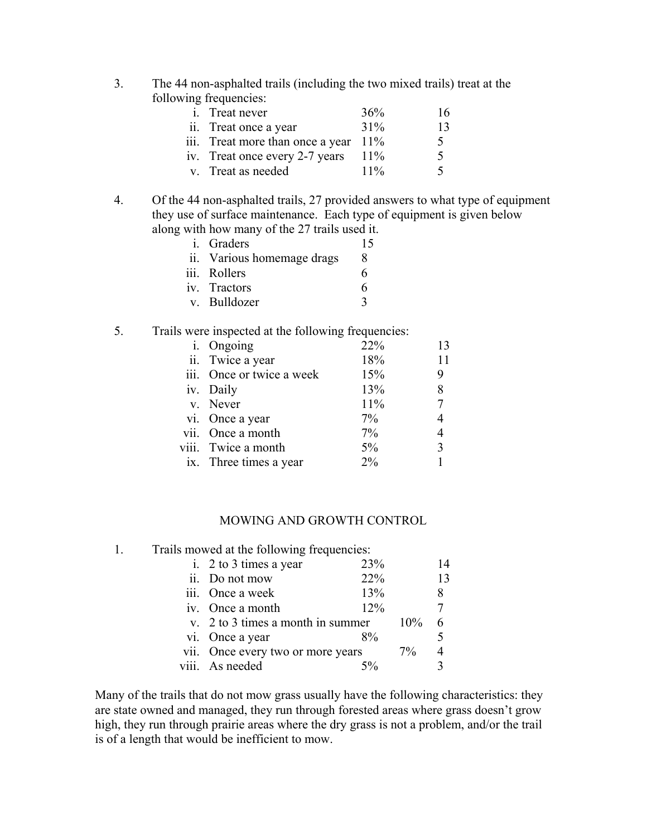3. The 44 non-asphalted trails (including the two mixed trails) treat at the following frequencies:

| <i>i</i> . Treat never                  | 36%    | 16            |
|-----------------------------------------|--------|---------------|
| ii. Treat once a year                   | 31%    | 13            |
| iii. Treat more than once a year $11\%$ |        | $\mathcal{L}$ |
| iv. Treat once every 2-7 years          | $11\%$ | $\rightarrow$ |
| v. Treat as needed                      | $11\%$ | 5             |

4. Of the 44 non-asphalted trails, 27 provided answers to what type of equipment they use of surface maintenance. Each type of equipment is given below along with how many of the 27 trails used it.

| <i>i.</i> Graders          | 15                      |
|----------------------------|-------------------------|
| ii. Various homemage drags | 8                       |
| iii. Rollers               | 6                       |
| iv. Tractors               | 6                       |
| v. Bulldozer               | $\mathbf{\mathfrak{p}}$ |

# 5. Trails were inspected at the following frequencies:

| i. Ongoing                | 22%   | 13 |
|---------------------------|-------|----|
| ii. Twice a year          | 18%   | 11 |
| iii. Once or twice a week | 15%   | 9  |
| iv. Daily                 | 13%   | 8  |
| v. Never                  | 11%   | 7  |
| vi. Once a year           | $7\%$ | 4  |
| vii. Once a month         | $7\%$ | 4  |
| viii. Twice a month       | 5%    | 3  |
| ix. Three times a year    | $2\%$ |    |
|                           |       |    |

#### MOWING AND GROWTH CONTROL

1. Trails mowed at the following frequencies:

| i. 2 to 3 times a year            | 23%   |       | 14             |
|-----------------------------------|-------|-------|----------------|
| ii. Do not mow                    | 22%   |       | 13             |
| iii. Once a week                  | 13%   |       | 8              |
| iv. Once a month                  | 12%   |       | 7              |
| v. 2 to 3 times a month in summer |       | 10%   |                |
| vi. Once a year                   | $8\%$ |       |                |
| vii. Once every two or more years |       | $7\%$ | $\overline{4}$ |
| viii. As needed                   |       |       |                |
|                                   |       |       |                |

Many of the trails that do not mow grass usually have the following characteristics: they are state owned and managed, they run through forested areas where grass doesn't grow high, they run through prairie areas where the dry grass is not a problem, and/or the trail is of a length that would be inefficient to mow.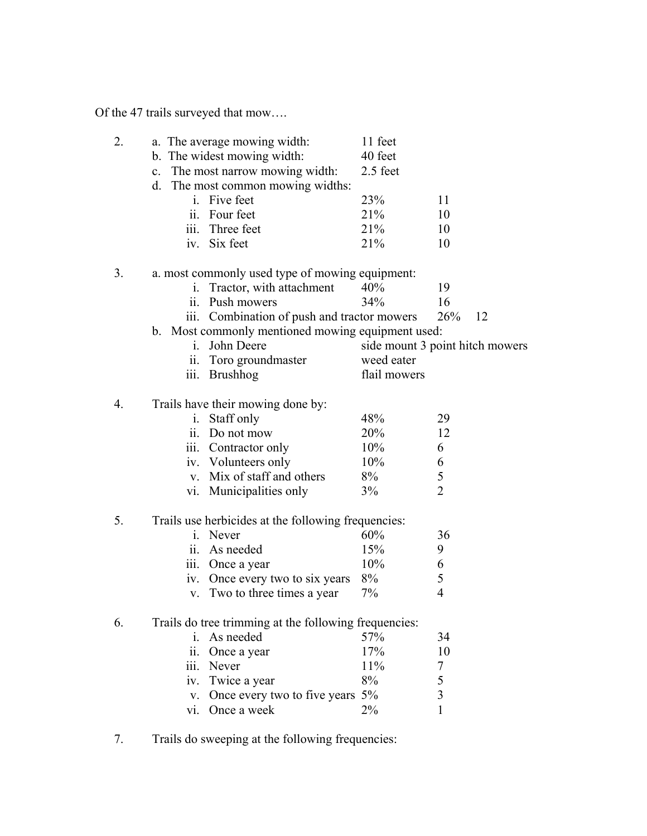Of the 47 trails surveyed that mow….

| 2. | a. The average mowing width:                                       | 11 feet      |                                 |
|----|--------------------------------------------------------------------|--------------|---------------------------------|
|    | b. The widest mowing width:                                        | 40 feet      |                                 |
|    | c. The most narrow mowing width:                                   | 2.5 feet     |                                 |
|    | d. The most common mowing widths:                                  |              |                                 |
|    | i. Five feet                                                       | 23%          | 11                              |
|    | ii. Four feet                                                      | 21%          | 10                              |
|    | iii. Three feet                                                    | 21%          | 10                              |
|    | iv. Six feet                                                       | 21%          | 10                              |
|    |                                                                    |              |                                 |
| 3. | a. most commonly used type of mowing equipment:                    |              |                                 |
|    | i. Tractor, with attachment                                        | 40%          | 19                              |
|    | ii. Push mowers                                                    | 34%          | 16                              |
|    | iii. Combination of push and tractor mowers                        |              | 26%<br>12                       |
|    | b. Most commonly mentioned mowing equipment used:                  |              |                                 |
|    | John Deere<br>$i_{-}$                                              |              | side mount 3 point hitch mowers |
|    | ii. Toro groundmaster                                              | weed eater   |                                 |
|    | <b>Brushhog</b><br>111.                                            | flail mowers |                                 |
| 4. | Trails have their mowing done by:                                  |              |                                 |
|    | Staff only<br>$\mathbf{i}$ .                                       | 48%          | 29                              |
|    | ii. Do not mow                                                     | 20%          | 12                              |
|    | iii. Contractor only                                               | 10%          | 6                               |
|    | iv. Volunteers only                                                | 10%          | 6                               |
|    | v. Mix of staff and others                                         | 8%           | 5                               |
|    |                                                                    |              | $\overline{2}$                  |
|    | vi. Municipalities only                                            | 3%           |                                 |
| 5. | Trails use herbicides at the following frequencies:                |              |                                 |
|    | i. Never                                                           | 60%          | 36                              |
|    | ii. As needed                                                      | 15%          | 9                               |
|    | iii. Once a year                                                   | 10%          | 6                               |
|    | iv. Once every two to six years                                    | 8%           | 5                               |
|    | v. Two to three times a year                                       | 7%           | $\overline{4}$                  |
|    |                                                                    |              |                                 |
| 6. | Trails do tree trimming at the following frequencies:<br>As needed | 57%          |                                 |
|    | i.                                                                 |              | 34                              |
|    | Once a year<br>11.                                                 | 17%          | 10                              |
|    | Never<br>111.                                                      | 11%          | 7                               |
|    | Twice a year<br>1V.                                                | 8%           | 5                               |
|    | Once every two to five years 5%<br>V.                              |              | $\overline{3}$                  |
|    | Once a week<br>vi.                                                 | 2%           | 1                               |

7. Trails do sweeping at the following frequencies: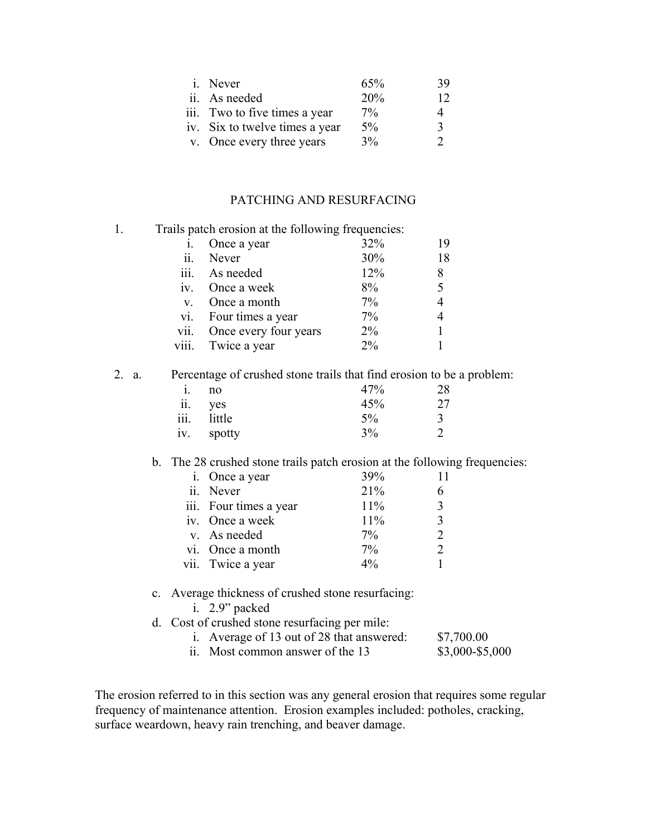| <i>i</i> . Never               | 65%   | 39            |
|--------------------------------|-------|---------------|
| ii. As needed                  | 20%   | 12            |
| iii. Two to five times a year  | $7\%$ | 4             |
| iv. Six to twelve times a year | $5\%$ | $\mathcal{R}$ |
| v. Once every three years      | 3%    | $\mathcal{D}$ |
|                                |       |               |

# PATCHING AND RESURFACING

| 1. |          | Trails patch erosion at the following frequencies: |       |    |
|----|----------|----------------------------------------------------|-------|----|
|    |          | Once a year                                        | 32%   | 19 |
|    | 11.      | Never                                              | 30%   | 18 |
|    |          | iii. As needed                                     | 12%   | 8  |
|    | $1V_{-}$ | Once a week                                        | 8%    | 5  |
|    | $V_{-}$  | Once a month                                       | 7%    | 4  |
|    | V1.      | Four times a year                                  | $7\%$ | 4  |
|    | vii.     | Once every four years                              | $2\%$ |    |
|    | V111.    | Twice a year                                       | $2\%$ |    |

#### 2. a. Percentage of crushed stone trails that find erosion to be a problem:

|                             | no     | 47% | 28 |
|-----------------------------|--------|-----|----|
| $\ddot{\phantom{0}}$<br>11. | ves    | 45% | 27 |
| iii.                        | little | 5%  | 3  |
| iv.                         | spotty | 3%  |    |

# b. The 28 crushed stone trails patch erosion at the following frequencies:

| i. Once a year         | 39%   |                             |
|------------------------|-------|-----------------------------|
| ii. Never              | 21%   | 6                           |
| iii. Four times a year | 11%   | 3                           |
| iv. Once a week        | 11%   | $\mathbf{3}$                |
| v. As needed           | $7\%$ | $\mathcal{D}_{\mathcal{L}}$ |
| vi. Once a month       | $7\%$ | $\mathcal{D}_{\mathcal{L}}$ |
| vii. Twice a year      | $4\%$ |                             |

# c. Average thickness of crushed stone resurfacing: i. 2.9" packed

# d. Cost of crushed stone resurfacing per mile:

| of or crustical storic resurrituality per inflict. |                 |
|----------------------------------------------------|-----------------|
| i. Average of 13 out of 28 that answered:          | \$7,700.00      |
| ii. Most common answer of the 13                   | \$3,000-\$5,000 |

The erosion referred to in this section was any general erosion that requires some regular frequency of maintenance attention. Erosion examples included: potholes, cracking, surface weardown, heavy rain trenching, and beaver damage.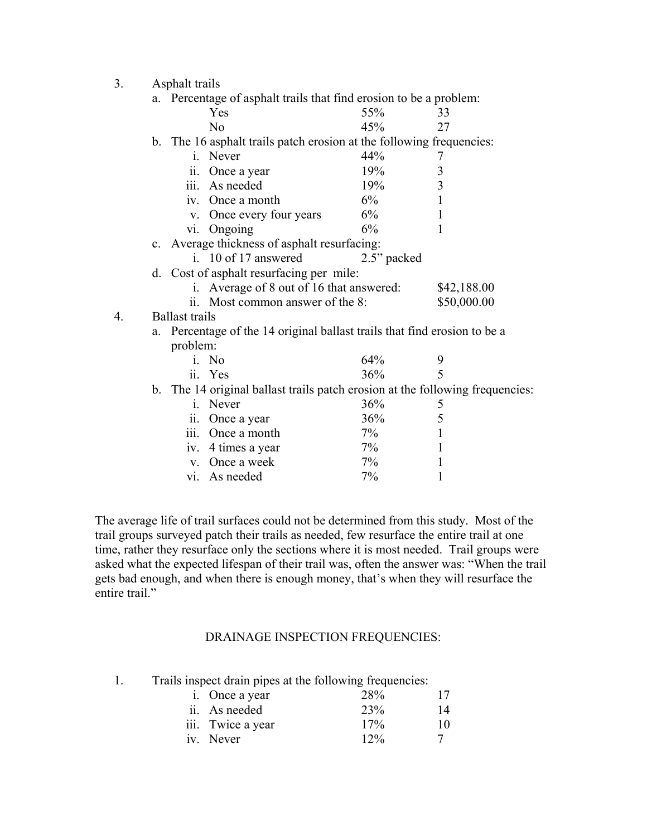3. Asphalt trails

|                  | a. | Percentage of asphalt trails that find erosion to be a problem:               |             |             |
|------------------|----|-------------------------------------------------------------------------------|-------------|-------------|
|                  |    | Yes                                                                           | 55%         | 33          |
|                  |    | N <sub>0</sub>                                                                | 45%         | 27          |
|                  |    | b. The 16 asphalt trails patch erosion at the following frequencies:          |             |             |
|                  |    | Never<br>1.                                                                   | 44%         | 7           |
|                  |    | Once a year<br>11.                                                            | 19%         | 3           |
|                  |    | iii. As needed                                                                | 19%         | 3           |
|                  |    | iv. Once a month                                                              | 6%          |             |
|                  |    | Once every four years<br>$V_{\rm A}$                                          | 6%          | 1           |
|                  |    | Ongoing<br>V1.                                                                | 6%          | 1           |
|                  |    | c. Average thickness of asphalt resurfacing:                                  |             |             |
|                  |    | i. 10 of 17 answered                                                          | 2.5" packed |             |
|                  |    | d. Cost of asphalt resurfacing per mile:                                      |             |             |
|                  |    | i. Average of 8 out of 16 that answered:                                      |             | \$42,188.00 |
|                  |    | Most common answer of the 8:<br>$11 -$                                        |             | \$50,000.00 |
| $\overline{4}$ . |    | <b>Ballast trails</b>                                                         |             |             |
|                  | a. | Percentage of the 14 original ballast trails that find erosion to be a        |             |             |
|                  |    | problem:                                                                      |             |             |
|                  |    | i. No                                                                         | 64%         | 9           |
|                  |    | ii. Yes                                                                       | 36%         | 5           |
|                  |    | b. The 14 original ballast trails patch erosion at the following frequencies: |             |             |
|                  |    | Never<br>1                                                                    | 36%         | 5           |
|                  |    | Once a year<br>11.                                                            | 36%         | 5           |
|                  |    | iii. Once a month                                                             | 7%          | 1           |
|                  |    | iv. 4 times a year                                                            | 7%          |             |
|                  |    | v. Once a week                                                                | 7%          | 1           |
|                  |    | vi. As needed                                                                 | 7%          |             |

The average life of trail surfaces could not be determined from this study. Most of the trail groups surveyed patch their trails as needed, few resurface the entire trail at one time, rather they resurface only the sections where it is most needed. Trail groups were asked what the expected lifespan of their trail was, often the answer was: "When the trail gets bad enough, and when there is enough money, that's when they will resurface the entire trail."

# DRAINAGE INSPECTION FREQUENCIES:

1. Trails inspect drain pipes at the following frequencies:

| i. Once a year    | 28%    | 17 |
|-------------------|--------|----|
| ii. As needed     | 23%    | 14 |
| iii. Twice a year | 17%    | 10 |
| iv. Never         | $12\%$ |    |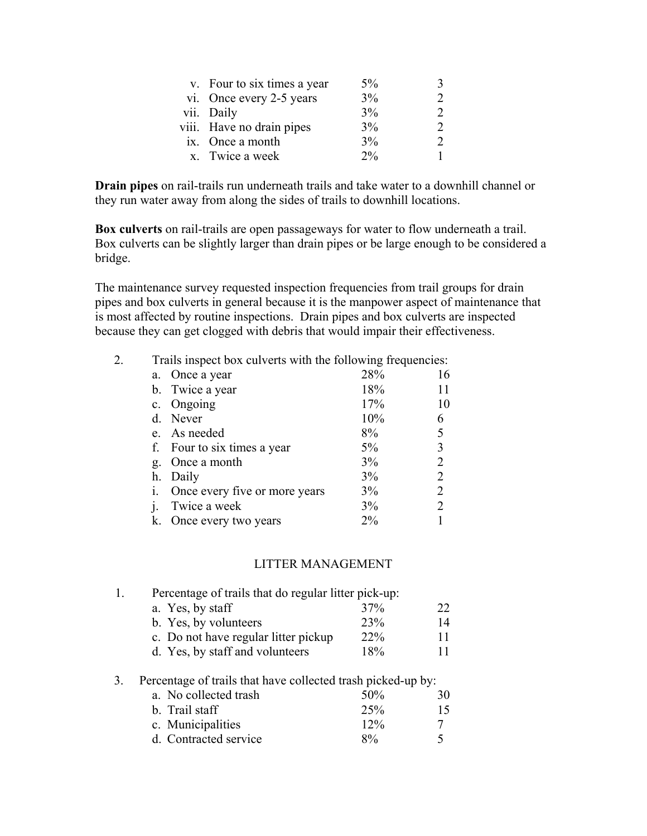| v. Four to six times a year | $5\%$ |  |
|-----------------------------|-------|--|
| vi. Once every 2-5 years    | 3%    |  |
| vii. Daily                  | 3%    |  |
| viii. Have no drain pipes   | 3%    |  |
| ix. Once a month            | 3%    |  |
| x. Twice a week             | 2%    |  |

**Drain pipes** on rail-trails run underneath trails and take water to a downhill channel or they run water away from along the sides of trails to downhill locations.

**Box culverts** on rail-trails are open passageways for water to flow underneath a trail. Box culverts can be slightly larger than drain pipes or be large enough to be considered a bridge.

The maintenance survey requested inspection frequencies from trail groups for drain pipes and box culverts in general because it is the manpower aspect of maintenance that is most affected by routine inspections. Drain pipes and box culverts are inspected because they can get clogged with debris that would impair their effectiveness.

| 2. | Trails inspect box culverts with the following frequencies: |       |    |
|----|-------------------------------------------------------------|-------|----|
|    | Once a year<br>a.                                           | 28%   | 16 |
|    | b. Twice a year                                             | 18%   |    |
|    | c. Ongoing                                                  | 17%   | 10 |
|    | Never<br>d.                                                 | 10%   | 6  |
|    | e. As needed                                                | 8%    |    |
|    | Four to six times a year<br>f.                              | 5%    |    |
|    | Once a month<br>g.                                          | 3%    |    |
|    | Daily<br>h.                                                 | 3%    |    |
|    | Once every five or more years                               | 3%    | 2  |
|    | Twice a week                                                | 3%    |    |
|    | Once every two years                                        | $2\%$ |    |

# LITTER MANAGEMENT

| $\mathbf{L}$ | Percentage of trails that do regular litter pick-up: |     |    |  |  |  |
|--------------|------------------------------------------------------|-----|----|--|--|--|
|              | a. Yes, by staff                                     | 37% | 22 |  |  |  |
|              | b. Yes, by volunteers                                | 23% | 14 |  |  |  |
|              | c. Do not have regular litter pickup                 | 22% | 11 |  |  |  |
|              | d. Yes, by staff and volunteers                      | 18% |    |  |  |  |
|              |                                                      |     |    |  |  |  |

# 3. Percentage of trails that have collected trash picked-up by:

| a. No collected trash | 50%    | 30.    |
|-----------------------|--------|--------|
|                       |        |        |
| b. Trail staff        | 25%    | 15.    |
| c. Municipalities     | $12\%$ |        |
| d. Contracted service | $8\%$  | $\sim$ |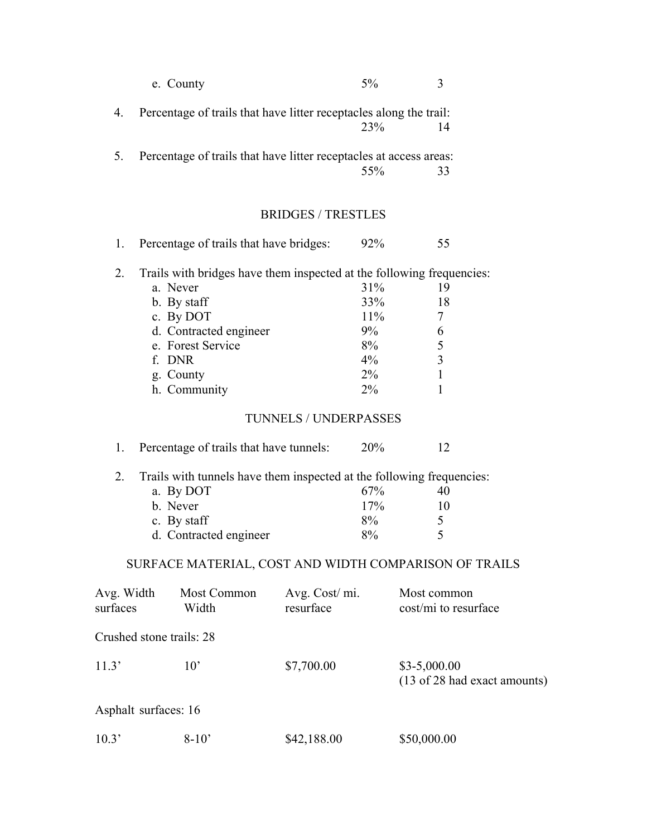|            | e. County                                                             |                              | 5%     | 3                                             |
|------------|-----------------------------------------------------------------------|------------------------------|--------|-----------------------------------------------|
| 4.         | Percentage of trails that have litter receptacles along the trail:    |                              | 23%    | 14                                            |
| 5.         | Percentage of trails that have litter receptacles at access areas:    |                              |        |                                               |
|            |                                                                       |                              | 55%    | 33                                            |
|            |                                                                       | <b>BRIDGES / TRESTLES</b>    |        |                                               |
| 1.         | Percentage of trails that have bridges:                               |                              | 92%    | 55                                            |
| 2.         | Trails with bridges have them inspected at the following frequencies: |                              |        |                                               |
|            | a. Never                                                              |                              | 31%    | 19                                            |
|            | b. By staff                                                           |                              | 33%    | 18                                            |
|            | c. By DOT                                                             |                              | $11\%$ | $\overline{7}$                                |
|            | d. Contracted engineer                                                |                              | $9\%$  | 6                                             |
|            | e. Forest Service                                                     |                              | 8%     | 5                                             |
|            | f. DNR                                                                |                              | $4\%$  | 3                                             |
|            | g. County                                                             |                              | $2\%$  | $\mathbf{1}$                                  |
|            | h. Community                                                          |                              | $2\%$  | 1                                             |
|            |                                                                       | <b>TUNNELS / UNDERPASSES</b> |        |                                               |
| 1.         | Percentage of trails that have tunnels:                               |                              | 20%    | 12                                            |
| 2.         | Trails with tunnels have them inspected at the following frequencies: |                              |        |                                               |
|            | a. By DOT                                                             |                              | 67%    | 40                                            |
|            | b. Never                                                              |                              | 17%    | 10                                            |
|            | c. By staff                                                           |                              | 8%     | 5                                             |
|            | d. Contracted engineer                                                |                              | 8%     | 5                                             |
|            | SURFACE MATERIAL, COST AND WIDTH COMPARISON OF TRAILS                 |                              |        |                                               |
| Avg. Width | Most Common                                                           | Avg. Cost/mi.                |        | Most common                                   |
| surfaces   | Width                                                                 | resurface                    |        | cost/mi to resurface                          |
|            | Crushed stone trails: 28                                              |                              |        |                                               |
| 11.3'      | $10^{\circ}$                                                          | \$7,700.00                   |        | $$3-5,000.00$<br>(13 of 28 had exact amounts) |
|            | Asphalt surfaces: 16                                                  |                              |        |                                               |

10.3' 8-10' \$42,188.00 \$50,000.00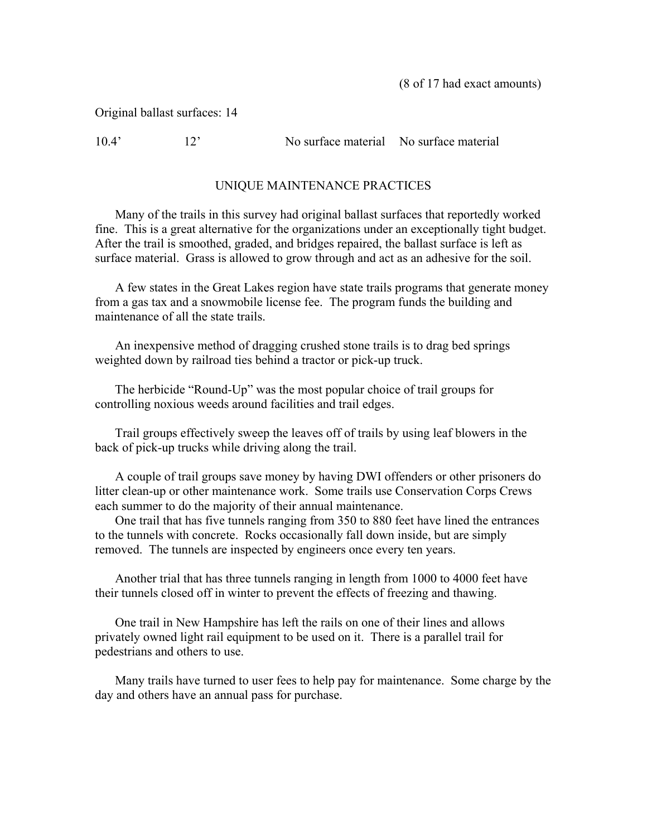(8 of 17 had exact amounts)

Original ballast surfaces: 14

10.4' 12' No surface material No surface material

# UNIQUE MAINTENANCE PRACTICES

 Many of the trails in this survey had original ballast surfaces that reportedly worked fine. This is a great alternative for the organizations under an exceptionally tight budget. After the trail is smoothed, graded, and bridges repaired, the ballast surface is left as surface material. Grass is allowed to grow through and act as an adhesive for the soil.

 A few states in the Great Lakes region have state trails programs that generate money from a gas tax and a snowmobile license fee. The program funds the building and maintenance of all the state trails.

 An inexpensive method of dragging crushed stone trails is to drag bed springs weighted down by railroad ties behind a tractor or pick-up truck.

The herbicide "Round-Up" was the most popular choice of trail groups for controlling noxious weeds around facilities and trail edges.

Trail groups effectively sweep the leaves off of trails by using leaf blowers in the back of pick-up trucks while driving along the trail.

 A couple of trail groups save money by having DWI offenders or other prisoners do litter clean-up or other maintenance work. Some trails use Conservation Corps Crews each summer to do the majority of their annual maintenance.

 One trail that has five tunnels ranging from 350 to 880 feet have lined the entrances to the tunnels with concrete. Rocks occasionally fall down inside, but are simply removed. The tunnels are inspected by engineers once every ten years.

 Another trial that has three tunnels ranging in length from 1000 to 4000 feet have their tunnels closed off in winter to prevent the effects of freezing and thawing.

One trail in New Hampshire has left the rails on one of their lines and allows privately owned light rail equipment to be used on it. There is a parallel trail for pedestrians and others to use.

 Many trails have turned to user fees to help pay for maintenance. Some charge by the day and others have an annual pass for purchase.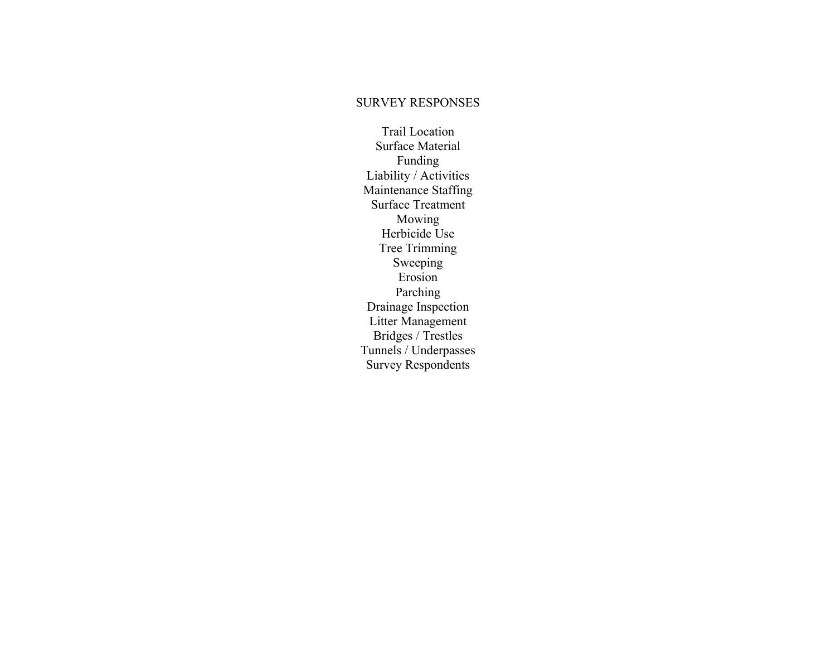#### SURVEY RESPONSES

Trail Location Surface Material Funding Liability / Activities Maintenance Staffing Surface Treatment Mowing Herbicide Use Tree Trimming Sweeping Erosion Parching Drainage Inspection Litter Management Bridges / Trestles Tunnels / Underpasses Survey Respondents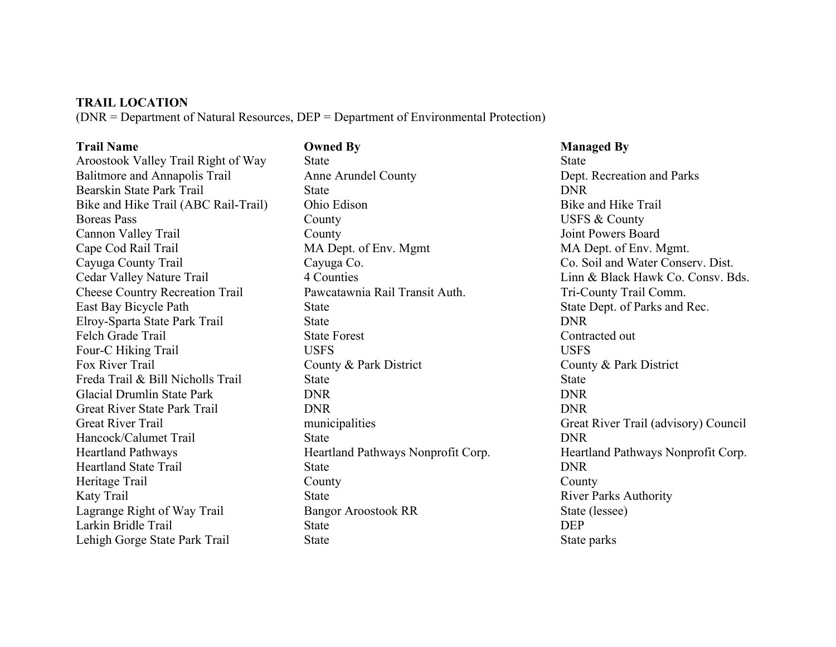#### **TRAIL LOCATION**

(DNR = Department of Natural Resources, DEP = Department of Environmental Protection)

Balitmore and Annapolis Trail Anne Arundel County Dept. Recreation and Parks Bearskin State Park Trail State DNR Bike and Hike Trail (ABC Rail-Trail) Ohio Edison Bike and Hike Trail Boreas Pass **County** County **County County USFS & County** Cannon Valley Trail County Joint Powers Board Cape Cod Rail Trail MA Dept. of Env. Mgmt MA Dept. of Env. Mgmt. Cayuga County Trail Cayuga Co. Co. Soil and Water Conserv. Dist. Cheese Country Recreation Trail Pawcatawnia Rail Transit Auth. Tri-County Trail Comm. East Bay Bicycle Path State State State State State Dept. of Parks and Rec. Elroy-Sparta State Park Trail State DNR Felch Grade Trail State Forest State Forest Contracted out Four-C Hiking Trail USFS USFS USFS Fox River Trail County & Park District County & Park District County & Park District Freda Trail & Bill Nicholls Trail State State State State State State State State State State State State State State State State State State State State State State State State State State State State State State State St Glacial Drumlin State Park DNR DNR Great River State Park Trail DNR DNR Great River Trail **Great River Trail (advisory)** Council municipalities Great River Trail (advisory) Council Hancock/Calumet Trail State DNR Heartland State Trail State DNR Heritage Trail County County County County County County County County County County County County County County County County County County County County County County County County County County County County County Coun Katy Trail State River Parks Authority Lagrange Right of Way Trail Bangor Aroostook RR State (lessee) Larkin Bridle Trail State State DEP Lehigh Gorge State Park Trail State State State State parks State parks State parks State parks State parks State parks State parks State parks State parks State parks State parks State parks State parks State parks State

**Trail Name Compact Service Compact By All Service Compact Service Compact Service Compact Service Compact Service Compact Service Compact Service Compact Service Compact Service Compact Service Compact Service Compact Ser** Aroostook Valley Trail Right of Way State State State

Cedar Valley Nature Trail 4 Counties 4 Counties Linn & Black Hawk Co. Consv. Bds. Heartland Pathways Heartland Pathways Nonprofit Corp. Heartland Pathways Nonprofit Corp.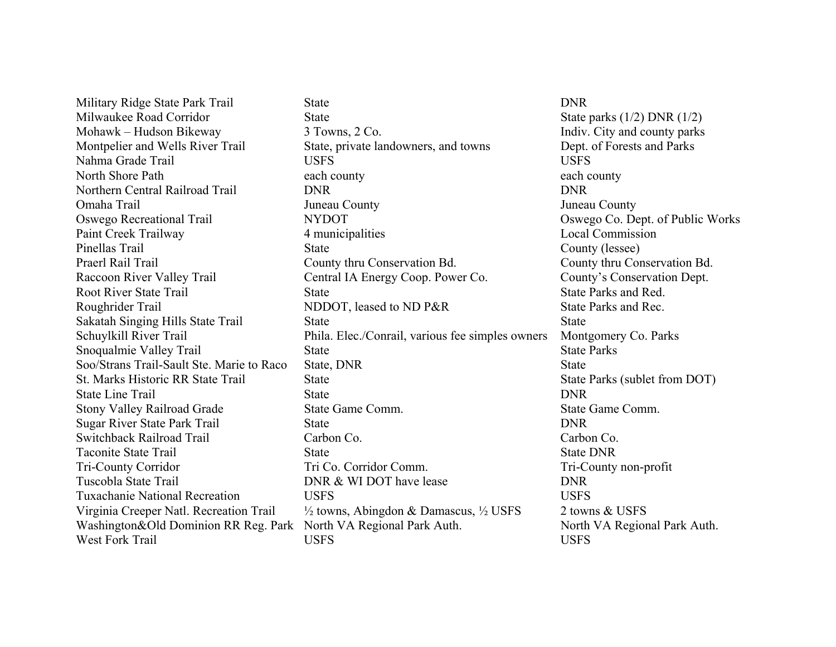Military Ridge State Park Trail State DNR

Milwaukee Road Corridor State State State State parks (1/2) DNR (1/2) Mohawk – Hudson Bikeway 3 Towns, 2 Co. Indiv. City and county parks Montpelier and Wells River Trail State, private landowners, and towns Dept. of Forests and Parks Nahma Grade Trail USFS USFS North Shore Path each county each county each county each county Northern Central Railroad Trail DNR DNR Omaha Trail Juneau County Juneau County Oswego Recreational Trail NYDOT Oswego Co. Dept. of Public Works Paint Creek Trailway 4 municipalities Local Commission Pinellas Trail State County (lessee) State County (lessee) Praerl Rail Trail County thru Conservation Bd. County thru Conservation Bd. Raccoon River Valley Trail Central IA Energy Coop. Power Co. County's Conservation Dept. Root River State Trail State State State State Parks and Red. Roughrider Trail **NDDOT**, leased to ND P&R State Parks and Rec. Sakatah Singing Hills State Trail State State State State State State State State State State State State State State State State State State State State State State State State State State State State State State State St Schuylkill River Trail Phila. Elec./Conrail, various fee simples owners Montgomery Co. Parks Snoqualmie Valley Trail State State State Parks Soo/Strans Trail-Sault Ste. Marie to Raco State, DNR State St. Marks Historic RR State Trail State State State State Parks (sublet from DOT) State Line Trail State State DNR Stony Valley Railroad Grade State Game Comm. State Game Comm. Sugar River State Park Trail State State DNR Switchback Railroad Trail Carbon Co. Carbon Co. Taconite State Trail State State DNR Tri-County Corridor Tri Co. Corridor Comm. Tri-County non-profit Tuscobla State Trail **DNR & WI DOT have lease** DNR Tuxachanie National Recreation USFS USFS Virginia Creeper Natl. Recreation Trail ½ towns, Abingdon & Damascus, ½ USFS 2 towns & USFS Washington&Old Dominion RR Reg. Park North VA Regional Park Auth. North VA Regional Park Auth. West Fork Trail USFS USFS USFS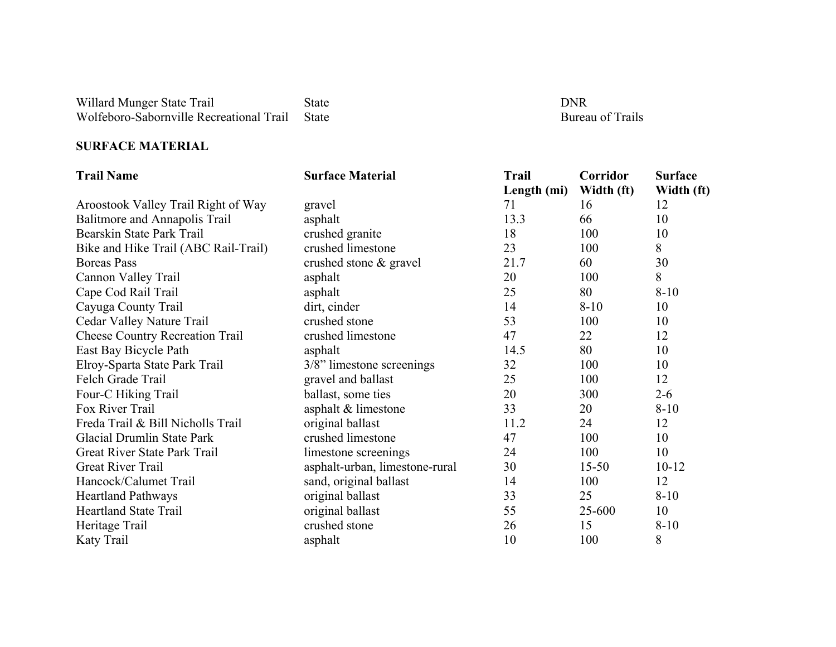Willard Munger State Trail State State DNR Wolfeboro-Sabornville Recreational Trail State Bureau of Trails Bureau of Trails

**Bureau of Trails** 

#### **SURFACE MATERIAL**

| <b>Trail Name</b>                      | <b>Surface Material</b>        | Trail       | Corridor   | <b>Surface</b> |
|----------------------------------------|--------------------------------|-------------|------------|----------------|
|                                        |                                | Length (mi) | Width (ft) | Width (ft)     |
| Aroostook Valley Trail Right of Way    | gravel                         | 71          | 16         | 12             |
| Balitmore and Annapolis Trail          | asphalt                        | 13.3        | 66         | 10             |
| Bearskin State Park Trail              | crushed granite                | 18          | 100        | 10             |
| Bike and Hike Trail (ABC Rail-Trail)   | crushed limestone              | 23          | 100        | 8              |
| <b>Boreas</b> Pass                     | crushed stone & gravel         | 21.7        | 60         | 30             |
| Cannon Valley Trail                    | asphalt                        | 20          | 100        | 8              |
| Cape Cod Rail Trail                    | asphalt                        | 25          | 80         | $8 - 10$       |
| Cayuga County Trail                    | dirt, cinder                   | 14          | $8 - 10$   | 10             |
| Cedar Valley Nature Trail              | crushed stone                  | 53          | 100        | 10             |
| <b>Cheese Country Recreation Trail</b> | crushed limestone              | 47          | 22         | 12             |
| East Bay Bicycle Path                  | asphalt                        | 14.5        | 80         | 10             |
| Elroy-Sparta State Park Trail          | 3/8" limestone screenings      | 32          | 100        | 10             |
| Felch Grade Trail                      | gravel and ballast             | 25          | 100        | 12             |
| Four-C Hiking Trail                    | ballast, some ties             | 20          | 300        | $2 - 6$        |
| Fox River Trail                        | asphalt & limestone            | 33          | 20         | $8-10$         |
| Freda Trail & Bill Nicholls Trail      | original ballast               | 11.2        | 24         | 12             |
| Glacial Drumlin State Park             | crushed limestone              | 47          | 100        | 10             |
| Great River State Park Trail           | limestone screenings           | 24          | 100        | 10             |
| Great River Trail                      | asphalt-urban, limestone-rural | 30          | $15 - 50$  | $10 - 12$      |
| Hancock/Calumet Trail                  | sand, original ballast         | 14          | 100        | 12             |
| <b>Heartland Pathways</b>              | original ballast               | 33          | 25         | $8 - 10$       |
| <b>Heartland State Trail</b>           | original ballast               | 55          | 25-600     | 10             |
| Heritage Trail                         | crushed stone                  | 26          | 15         | $8 - 10$       |
| Katy Trail                             | asphalt                        | 10          | 100        | 8              |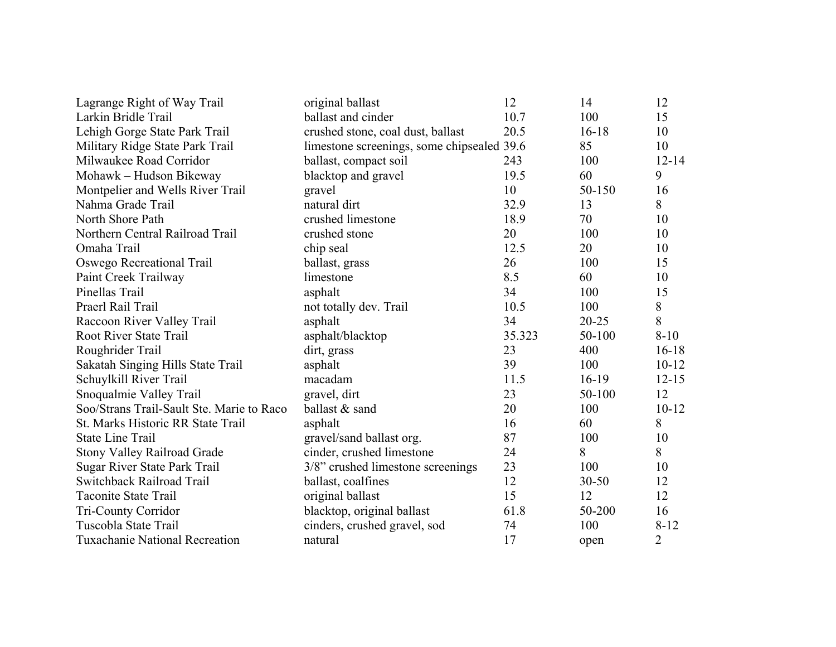| Lagrange Right of Way Trail               | original ballast                           | 12     | 14        | 12             |
|-------------------------------------------|--------------------------------------------|--------|-----------|----------------|
| Larkin Bridle Trail                       | ballast and cinder                         | 10.7   | 100       | 15             |
| Lehigh Gorge State Park Trail             | crushed stone, coal dust, ballast          | 20.5   | $16 - 18$ | 10             |
| Military Ridge State Park Trail           | limestone screenings, some chipsealed 39.6 |        | 85        | 10             |
| Milwaukee Road Corridor                   | ballast, compact soil                      | 243    | 100       | $12 - 14$      |
| Mohawk – Hudson Bikeway                   | blacktop and gravel                        | 19.5   | 60        | 9              |
| Montpelier and Wells River Trail          | gravel                                     | 10     | 50-150    | 16             |
| Nahma Grade Trail                         | natural dirt                               | 32.9   | 13        | 8              |
| North Shore Path                          | crushed limestone                          | 18.9   | 70        | 10             |
| Northern Central Railroad Trail           | crushed stone                              | 20     | 100       | 10             |
| Omaha Trail                               | chip seal                                  | 12.5   | 20        | 10             |
| Oswego Recreational Trail                 | ballast, grass                             | 26     | 100       | 15             |
| Paint Creek Trailway                      | limestone                                  | 8.5    | 60        | 10             |
| Pinellas Trail                            | asphalt                                    | 34     | 100       | 15             |
| Praerl Rail Trail                         | not totally dev. Trail                     | 10.5   | 100       | 8              |
| Raccoon River Valley Trail                | asphalt                                    | 34     | $20 - 25$ | 8              |
| <b>Root River State Trail</b>             | asphalt/blacktop                           | 35.323 | 50-100    | $8 - 10$       |
| Roughrider Trail                          | dirt, grass                                | 23     | 400       | $16 - 18$      |
| Sakatah Singing Hills State Trail         | asphalt                                    | 39     | 100       | $10 - 12$      |
| Schuylkill River Trail                    | macadam                                    | 11.5   | $16-19$   | $12 - 15$      |
| Snoqualmie Valley Trail                   | gravel, dirt                               | 23     | 50-100    | 12             |
| Soo/Strans Trail-Sault Ste. Marie to Raco | ballast & sand                             | 20     | 100       | $10 - 12$      |
| St. Marks Historic RR State Trail         | asphalt                                    | 16     | 60        | 8              |
| <b>State Line Trail</b>                   | gravel/sand ballast org.                   | 87     | 100       | 10             |
| <b>Stony Valley Railroad Grade</b>        | cinder, crushed limestone                  | 24     | 8         | 8              |
| Sugar River State Park Trail              | 3/8" crushed limestone screenings          | 23     | 100       | 10             |
| Switchback Railroad Trail                 | ballast, coalfines                         | 12     | $30 - 50$ | 12             |
| <b>Taconite State Trail</b>               | original ballast                           | 15     | 12        | 12             |
| Tri-County Corridor                       | blacktop, original ballast                 | 61.8   | 50-200    | 16             |
| Tuscobla State Trail                      | cinders, crushed gravel, sod               | 74     | 100       | $8 - 12$       |
| <b>Tuxachanie National Recreation</b>     | natural                                    | 17     | open      | $\overline{2}$ |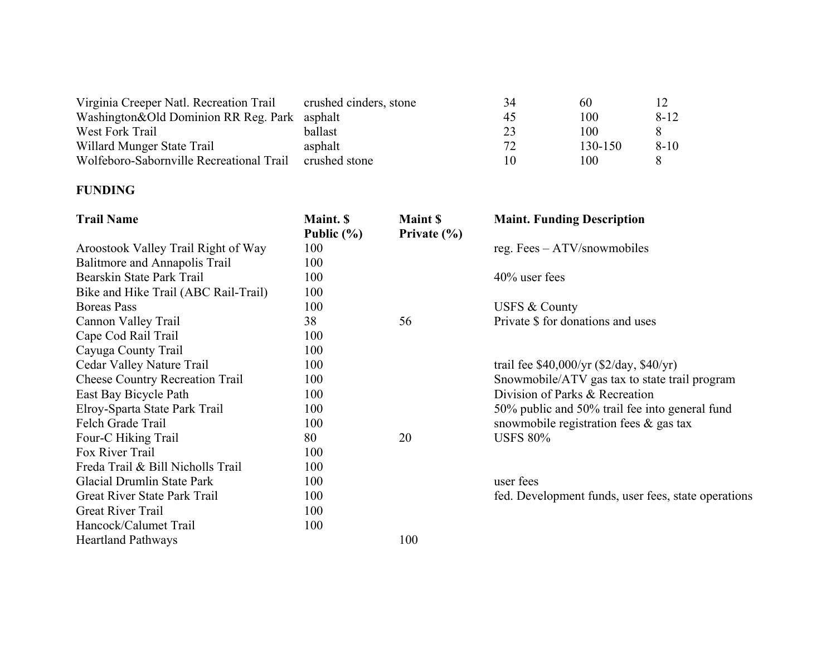| Virginia Creeper Natl. Recreation Trail        | crushed cinders, stone | 34 | 60      |          |
|------------------------------------------------|------------------------|----|---------|----------|
| Washington & Old Dominion RR Reg. Park asphalt |                        | 45 | 100     | $8 - 12$ |
| West Fork Trail                                | ballast                | 23 | 100     |          |
| Willard Munger State Trail                     | asphalt                | 72 | 130-150 | $8 - 10$ |
| Wolfeboro-Sabornville Recreational Trail       | crushed stone          | 10 | 100     |          |

#### **FUNDING**

| <b>Trail Name</b>                      | Maint. \$      | <b>Maint \$</b> | <b>Maint. Funding Description</b>                   |
|----------------------------------------|----------------|-----------------|-----------------------------------------------------|
|                                        | Public $(\% )$ | Private $(\% )$ |                                                     |
| Aroostook Valley Trail Right of Way    | 100            |                 | reg. Fees $-$ ATV/snowmobiles                       |
| Balitmore and Annapolis Trail          | 100            |                 |                                                     |
| Bearskin State Park Trail              | 100            |                 | $40\%$ user fees                                    |
| Bike and Hike Trail (ABC Rail-Trail)   | 100            |                 |                                                     |
| Boreas Pass                            | 100            |                 | USFS & County                                       |
| Cannon Valley Trail                    | 38             | 56              | Private \$ for donations and uses                   |
| Cape Cod Rail Trail                    | 100            |                 |                                                     |
| Cayuga County Trail                    | 100            |                 |                                                     |
| Cedar Valley Nature Trail              | 100            |                 | trail fee $$40,000/yr$ ( $$2/day, $40/yr$ )         |
| <b>Cheese Country Recreation Trail</b> | 100            |                 | Snowmobile/ATV gas tax to state trail program       |
| East Bay Bicycle Path                  | 100            |                 | Division of Parks & Recreation                      |
| Elroy-Sparta State Park Trail          | 100            |                 | 50% public and 50% trail fee into general fund      |
| Felch Grade Trail                      | 100            |                 | snowmobile registration fees $\&$ gas tax           |
| Four-C Hiking Trail                    | 80             | 20              | <b>USFS 80%</b>                                     |
| Fox River Trail                        | 100            |                 |                                                     |
| Freda Trail & Bill Nicholls Trail      | 100            |                 |                                                     |
| Glacial Drumlin State Park             | 100            |                 | user fees                                           |
| Great River State Park Trail           | 100            |                 | fed. Development funds, user fees, state operations |
| <b>Great River Trail</b>               | 100            |                 |                                                     |
| Hancock/Calumet Trail                  | 100            |                 |                                                     |
| <b>Heartland Pathways</b>              |                | 100             |                                                     |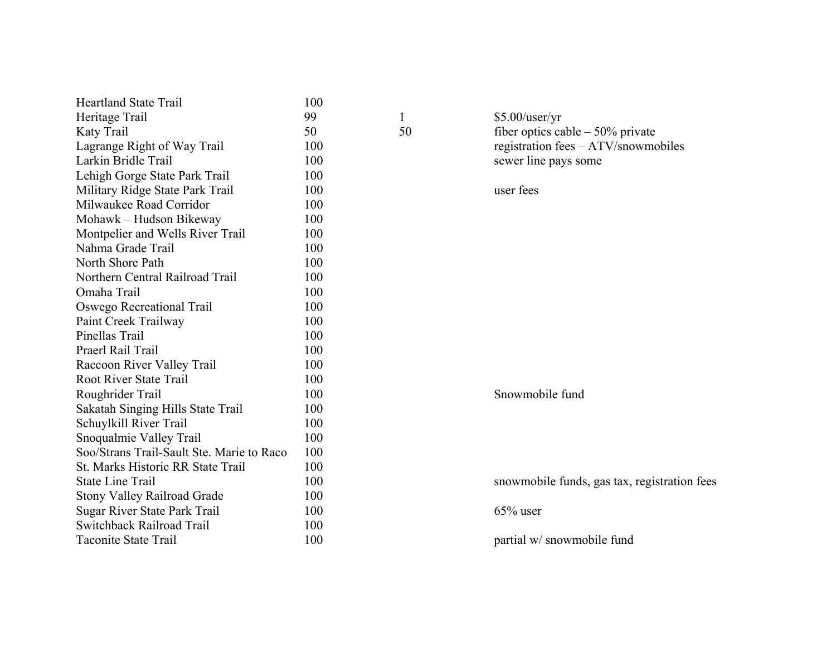| <b>Heartland State Trail</b>              | 100 |    |              |
|-------------------------------------------|-----|----|--------------|
| Heritage Trail                            | 99  | 1  | $$5.00/$ use |
| Katy Trail                                | 50  | 50 | fiber opti   |
| Lagrange Right of Way Trail               | 100 |    | registration |
| Larkin Bridle Trail                       | 100 |    | sewer line   |
| Lehigh Gorge State Park Trail             | 100 |    |              |
| Military Ridge State Park Trail           | 100 |    | user fees    |
| Milwaukee Road Corridor                   | 100 |    |              |
| Mohawk - Hudson Bikeway                   | 100 |    |              |
| Montpelier and Wells River Trail          | 100 |    |              |
| Nahma Grade Trail                         | 100 |    |              |
| North Shore Path                          | 100 |    |              |
| Northern Central Railroad Trail           | 100 |    |              |
| Omaha Trail                               | 100 |    |              |
| Oswego Recreational Trail                 | 100 |    |              |
| Paint Creek Trailway                      | 100 |    |              |
| Pinellas Trail                            | 100 |    |              |
| Praerl Rail Trail                         | 100 |    |              |
| Raccoon River Valley Trail                | 100 |    |              |
| <b>Root River State Trail</b>             | 100 |    |              |
| Roughrider Trail                          | 100 |    | Snowmol      |
| Sakatah Singing Hills State Trail         | 100 |    |              |
| Schuylkill River Trail                    | 100 |    |              |
| Snoqualmie Valley Trail                   | 100 |    |              |
| Soo/Strans Trail-Sault Ste. Marie to Raco | 100 |    |              |
| St. Marks Historic RR State Trail         | 100 |    |              |
| <b>State Line Trail</b>                   | 100 |    | snowmob      |
| <b>Stony Valley Railroad Grade</b>        | 100 |    |              |
| Sugar River State Park Trail              | 100 |    | $65\%$ user  |
| Switchback Railroad Trail                 | 100 |    |              |
| <b>Taconite State Trail</b>               | 100 |    | partial w/   |
|                                           |     |    |              |

1 \$5.00/user/yr<br>50 fiber optics ca fiber optics cable – 50% private registration fees – ATV/snowmobiles sewer line pays some

Snowmobile fund

snowmobile funds, gas tax, registration fees

partial w/ snowmobile fund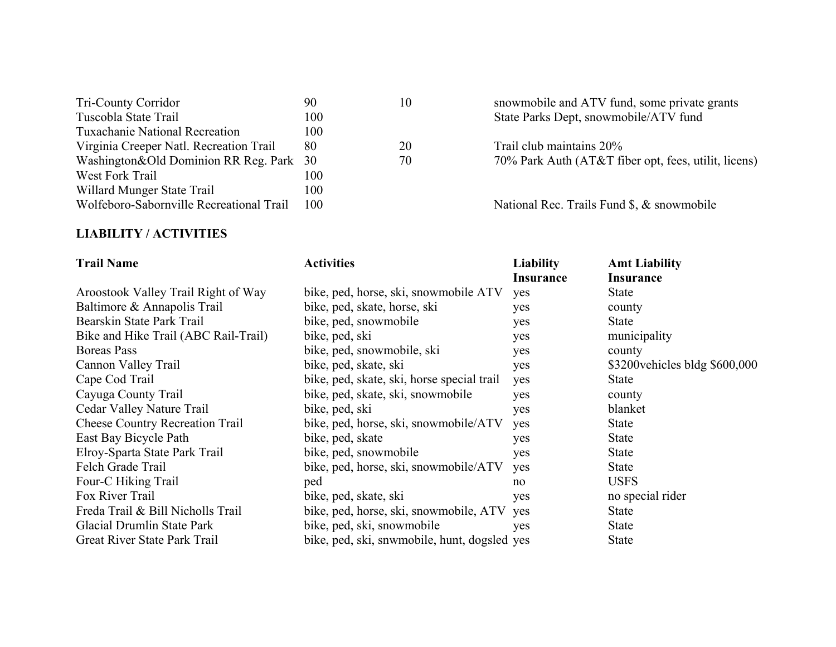| 90                                                | 10 | snowmobile and ATV fund, some private    |
|---------------------------------------------------|----|------------------------------------------|
| 100                                               |    | State Parks Dept, snowmobile/ATV fund    |
| 100                                               |    |                                          |
| 80                                                | 20 | Trail club maintains 20%                 |
| Washington&Old Dominion RR Reg. Park<br><b>30</b> | 70 | 70% Park Auth (AT&T fiber opt, fees, uti |
| 100                                               |    |                                          |
| 100                                               |    |                                          |
| 100                                               |    | National Rec. Trails Fund \$, & snowmobi |
|                                                   |    |                                          |

#### **LIABILITY / ACTIVITIES**

| <b>Trail Name</b>                      | <b>Activities</b>                            | <b>Liability</b><br><b>Insurance</b> | <b>Amt Liability</b><br><b>Insurance</b> |
|----------------------------------------|----------------------------------------------|--------------------------------------|------------------------------------------|
| Aroostook Valley Trail Right of Way    | bike, ped, horse, ski, snowmobile ATV        | yes                                  | State                                    |
| Baltimore & Annapolis Trail            | bike, ped, skate, horse, ski                 | yes                                  | county                                   |
| Bearskin State Park Trail              | bike, ped, snowmobile                        | yes                                  | State                                    |
| Bike and Hike Trail (ABC Rail-Trail)   | bike, ped, ski                               | yes                                  | municipality                             |
| Boreas Pass                            | bike, ped, snowmobile, ski                   | yes                                  | county                                   |
| Cannon Valley Trail                    | bike, ped, skate, ski                        | yes                                  | \$3200 vehicles bldg \$600,000           |
| Cape Cod Trail                         | bike, ped, skate, ski, horse special trail   | yes                                  | State                                    |
| Cayuga County Trail                    | bike, ped, skate, ski, snowmobile            | yes                                  | county                                   |
| Cedar Valley Nature Trail              | bike, ped, ski                               | yes                                  | blanket                                  |
| <b>Cheese Country Recreation Trail</b> | bike, ped, horse, ski, snowmobile/ATV        | yes                                  | <b>State</b>                             |
| East Bay Bicycle Path                  | bike, ped, skate                             | yes                                  | <b>State</b>                             |
| Elroy-Sparta State Park Trail          | bike, ped, snowmobile                        | yes                                  | <b>State</b>                             |
| Felch Grade Trail                      | bike, ped, horse, ski, snowmobile/ATV        | yes                                  | <b>State</b>                             |
| Four-C Hiking Trail                    | ped                                          | no                                   | <b>USFS</b>                              |
| Fox River Trail                        | bike, ped, skate, ski                        | yes                                  | no special rider                         |
| Freda Trail & Bill Nicholls Trail      | bike, ped, horse, ski, snowmobile, ATV       | yes                                  | <b>State</b>                             |
| Glacial Drumlin State Park             | bike, ped, ski, snowmobile                   | yes                                  | <b>State</b>                             |
| Great River State Park Trail           | bike, ped, ski, snwmobile, hunt, dogsled yes |                                      | <b>State</b>                             |

Tri-County Corridor 90 10 snowmobile and ATV fund, some private grants 20 Trail club maintains 20%<br>70 70% Park Auth (AT&T fi 70% Park Auth (AT&T fiber opt, fees, utilit, licens)

National Rec. Trails Fund \$, & snowmobile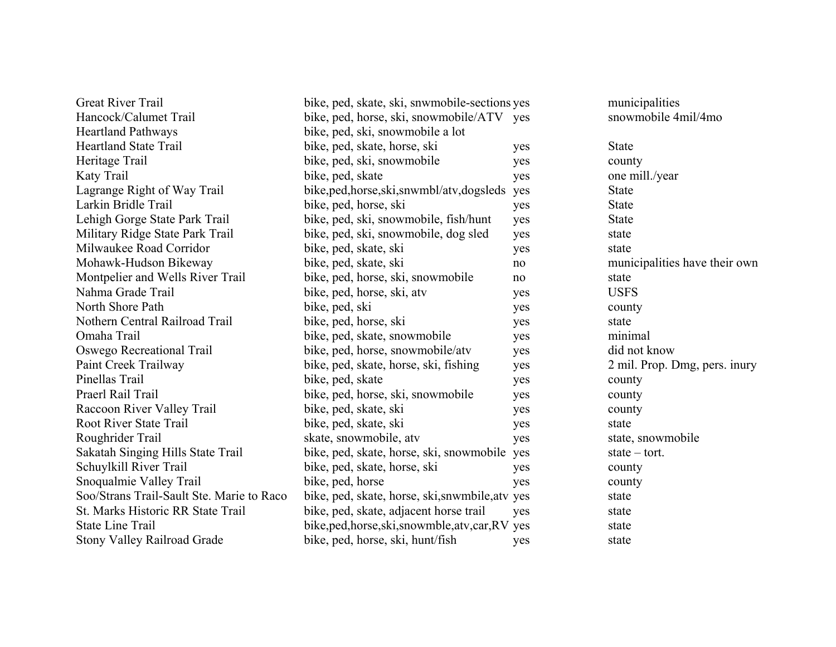| <b>Great River Trail</b>                  | bike, ped, skate, ski, snwmobile-sections yes     |     | municipalities                |
|-------------------------------------------|---------------------------------------------------|-----|-------------------------------|
| Hancock/Calumet Trail                     | bike, ped, horse, ski, snowmobile/ATV yes         |     | snowmobile 4mil/4mo           |
| <b>Heartland Pathways</b>                 | bike, ped, ski, snowmobile a lot                  |     |                               |
| <b>Heartland State Trail</b>              | bike, ped, skate, horse, ski                      | yes | <b>State</b>                  |
| Heritage Trail                            | bike, ped, ski, snowmobile                        | yes | county                        |
| Katy Trail                                | bike, ped, skate                                  | yes | one mill./year                |
| Lagrange Right of Way Trail               | bike, ped, horse, ski, snwmbl/atv, dogsleds       | yes | <b>State</b>                  |
| Larkin Bridle Trail                       | bike, ped, horse, ski                             | yes | <b>State</b>                  |
| Lehigh Gorge State Park Trail             | bike, ped, ski, snowmobile, fish/hunt             | yes | <b>State</b>                  |
| Military Ridge State Park Trail           | bike, ped, ski, snowmobile, dog sled              | yes | state                         |
| Milwaukee Road Corridor                   | bike, ped, skate, ski                             | yes | state                         |
| Mohawk-Hudson Bikeway                     | bike, ped, skate, ski                             | no  | municipalities have their own |
| Montpelier and Wells River Trail          | bike, ped, horse, ski, snowmobile                 | no  | state                         |
| Nahma Grade Trail                         | bike, ped, horse, ski, atv                        | yes | <b>USFS</b>                   |
| North Shore Path                          | bike, ped, ski                                    | yes | county                        |
| Nothern Central Railroad Trail            | bike, ped, horse, ski                             | yes | state                         |
| Omaha Trail                               | bike, ped, skate, snowmobile                      | yes | minimal                       |
| Oswego Recreational Trail                 | bike, ped, horse, snowmobile/atv                  | yes | did not know                  |
| Paint Creek Trailway                      | bike, ped, skate, horse, ski, fishing             | yes | 2 mil. Prop. Dmg, pers. inury |
| Pinellas Trail                            | bike, ped, skate                                  | yes | county                        |
| Praerl Rail Trail                         | bike, ped, horse, ski, snowmobile                 | yes | county                        |
| Raccoon River Valley Trail                | bike, ped, skate, ski                             | yes | county                        |
| <b>Root River State Trail</b>             | bike, ped, skate, ski                             | yes | state                         |
| Roughrider Trail                          | skate, snowmobile, atv                            | yes | state, snowmobile             |
| Sakatah Singing Hills State Trail         | bike, ped, skate, horse, ski, snowmobile yes      |     | $state - tort.$               |
| Schuylkill River Trail                    | bike, ped, skate, horse, ski                      | yes | county                        |
| Snoqualmie Valley Trail                   | bike, ped, horse                                  | yes | county                        |
| Soo/Strans Trail-Sault Ste. Marie to Raco | bike, ped, skate, horse, ski, snwmbile, atv yes   |     | state                         |
| St. Marks Historic RR State Trail         | bike, ped, skate, adjacent horse trail            | yes | state                         |
| <b>State Line Trail</b>                   | bike, ped, horse, ski, snowmble, atv, car, RV yes |     | state                         |
| <b>Stony Valley Railroad Grade</b>        | bike, ped, horse, ski, hunt/fish                  | yes | state                         |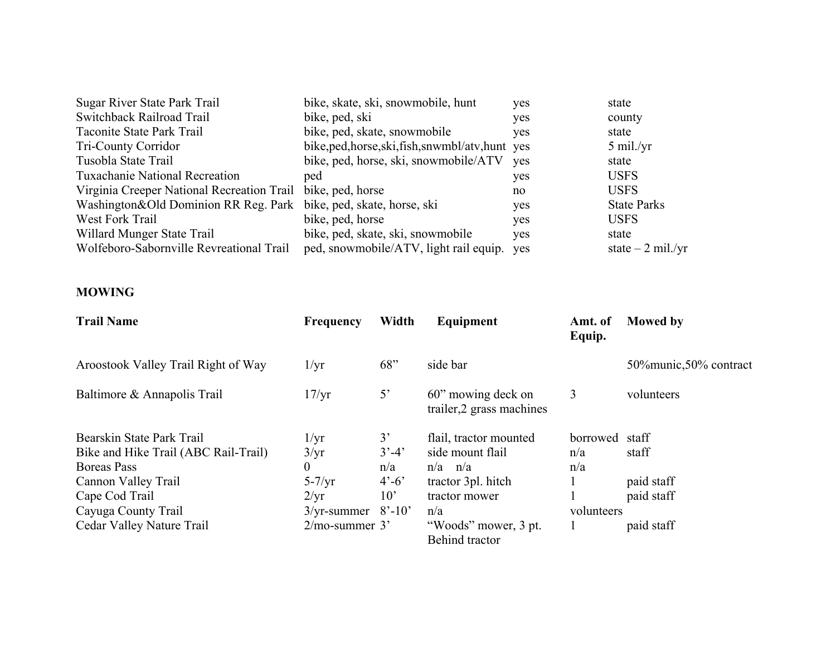| Sugar River State Park Trail                                      | bike, skate, ski, snowmobile, hunt                | yes | state              |
|-------------------------------------------------------------------|---------------------------------------------------|-----|--------------------|
| Switchback Railroad Trail                                         | bike, ped, ski                                    | yes | county             |
| Taconite State Park Trail                                         | bike, ped, skate, snowmobile                      | yes | state              |
| <b>Tri-County Corridor</b>                                        | bike, ped, horse, ski, fish, snwmbl/atv, hunt yes |     | $5$ mil./yr        |
| Tusobla State Trail                                               | bike, ped, horse, ski, snowmobile/ATV             | ves | state              |
| <b>Tuxachanie National Recreation</b>                             | ped                                               | yes | <b>USFS</b>        |
| Virginia Creeper National Recreation Trail bike, ped, horse       |                                                   | no  | <b>USFS</b>        |
| Washington&Old Dominion RR Reg. Park bike, ped, skate, horse, ski |                                                   | yes | <b>State Parks</b> |
| West Fork Trail                                                   | bike, ped, horse                                  | yes | <b>USFS</b>        |
| Willard Munger State Trail                                        | bike, ped, skate, ski, snowmobile                 | yes | state              |
| Wolfeboro-Sabornville Revreational Trail                          | ped, snowmobile/ATV, light rail equip. yes        |     | state $-2$ mil./yr |
|                                                                   |                                                   |     |                    |

#### **MOWING**

| <b>Trail Name</b>                                                                       | <b>Frequency</b>                          | Width                                   | Equipment                                                 | Amt. of<br>Equip.      | <b>Mowed</b> by          |
|-----------------------------------------------------------------------------------------|-------------------------------------------|-----------------------------------------|-----------------------------------------------------------|------------------------|--------------------------|
| Aroostook Valley Trail Right of Way                                                     | $1/\mathrm{yr}$                           | 68"                                     | side bar                                                  |                        | 50% munic, 50% contract  |
| Baltimore & Annapolis Trail                                                             | 17/yr                                     | $5^{\circ}$                             | 60" mowing deck on<br>trailer, 2 grass machines           | 3                      | volunteers               |
| Bearskin State Park Trail<br>Bike and Hike Trail (ABC Rail-Trail)<br><b>Boreas</b> Pass | $1/\mathrm{yr}$<br>3/yr<br>$\overline{0}$ | 3'<br>$3' - 4'$<br>n/a                  | flail, tractor mounted<br>side mount flail<br>$n/a$ $n/a$ | borrowed<br>n/a<br>n/a | staff<br>staff           |
| Cannon Valley Trail<br>Cape Cod Trail                                                   | $5 - 7/yr$<br>$2/\text{yr}$               | $4^{\circ} - 6^{\circ}$<br>$10^{\circ}$ | tractor 3pl. hitch<br>tractor mower                       |                        | paid staff<br>paid staff |
| Cayuga County Trail<br>Cedar Valley Nature Trail                                        | $3/\text{yr-summer}$<br>$2/mo$ -summer 3' | $8' - 10'$                              | n/a<br>"Woods" mower, 3 pt.<br>Behind tractor             | volunteers             | paid staff               |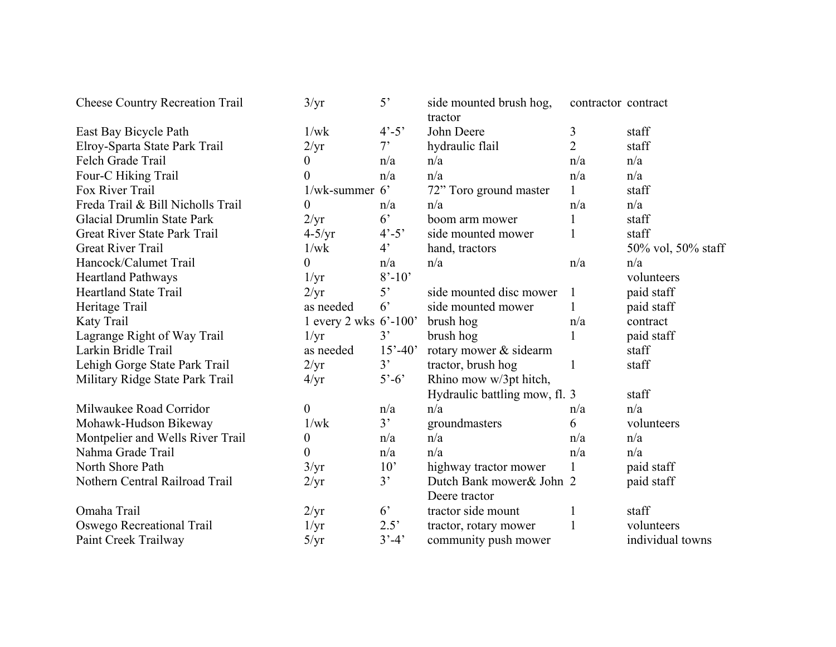| <b>Cheese Country Recreation Trail</b> | 3/yr                     | $5^{\circ}$             | side mounted brush hog,<br>tractor | contractor contract |                    |
|----------------------------------------|--------------------------|-------------------------|------------------------------------|---------------------|--------------------|
| East Bay Bicycle Path                  | 1/wk                     | $4^{\circ} - 5^{\circ}$ | John Deere                         | 3                   | staff              |
| Elroy-Sparta State Park Trail          | $2/\text{yr}$            | $7^{\circ}$             | hydraulic flail                    | $\overline{2}$      | staff              |
| Felch Grade Trail                      | 0                        | n/a                     | n/a                                | n/a                 | n/a                |
| Four-C Hiking Trail                    | 0                        | n/a                     | n/a                                | n/a                 | n/a                |
| Fox River Trail                        | $1$ /wk-summer 6'        |                         | 72" Toro ground master             | $\mathbf{1}$        | staff              |
| Freda Trail & Bill Nicholls Trail      | 0                        | n/a                     | n/a                                | n/a                 | n/a                |
| Glacial Drumlin State Park             | 2/yr                     | $6^{\circ}$             | boom arm mower                     | $\mathbf{1}$        | staff              |
| Great River State Park Trail           | $4-5/yr$                 | $4^{\circ} - 5^{\circ}$ | side mounted mower                 | $\mathbf{1}$        | staff              |
| <b>Great River Trail</b>               | 1/wk                     | $4^{\circ}$             | hand, tractors                     |                     | 50% vol, 50% staff |
| Hancock/Calumet Trail                  | 0                        | n/a                     | n/a                                | n/a                 | n/a                |
| <b>Heartland Pathways</b>              | $1/\text{yr}$            | $8' - 10'$              |                                    |                     | volunteers         |
| <b>Heartland State Trail</b>           | 2/yr                     | 5 <sup>2</sup>          | side mounted disc mower            | 1                   | paid staff         |
| Heritage Trail                         | as needed                | 6 <sup>2</sup>          | side mounted mower                 |                     | paid staff         |
| Katy Trail                             | 1 every 2 wks $6'$ -100' |                         | brush hog                          | n/a                 | contract           |
| Lagrange Right of Way Trail            | $1/\text{yr}$            | 3'                      | brush hog                          |                     | paid staff         |
| Larkin Bridle Trail                    | as needed                | $15' - 40'$             | rotary mower & sidearm             |                     | staff              |
| Lehigh Gorge State Park Trail          | 2/yr                     | 3'                      | tractor, brush hog                 | 1                   | staff              |
| Military Ridge State Park Trail        | $4/\text{yr}$            | $5'-6'$                 | Rhino mow w/3pt hitch,             |                     |                    |
|                                        |                          |                         | Hydraulic battling mow, fl. 3      |                     | staff              |
| Milwaukee Road Corridor                | 0                        | n/a                     | n/a                                | n/a                 | n/a                |
| Mohawk-Hudson Bikeway                  | 1/wk                     | 3'                      | groundmasters                      | 6                   | volunteers         |
| Montpelier and Wells River Trail       | 0                        | n/a                     | n/a                                | n/a                 | n/a                |
| Nahma Grade Trail                      | 0                        | n/a                     | n/a                                | n/a                 | n/a                |
| North Shore Path                       | 3/yr                     | 10'                     | highway tractor mower              | $\mathbf{1}$        | paid staff         |
| Nothern Central Railroad Trail         | 2/yr                     | 3'                      | Dutch Bank mower & John 2          |                     | paid staff         |
|                                        |                          |                         | Deere tractor                      |                     |                    |
| Omaha Trail                            | 2/yr                     | $6^{\circ}$             | tractor side mount                 |                     | staff              |
| Oswego Recreational Trail              | $1/\text{yr}$            | 2.5'                    | tractor, rotary mower              | $\mathbf{1}$        | volunteers         |
| Paint Creek Trailway                   | 5/yr                     | $3' - 4'$               | community push mower               |                     | individual towns   |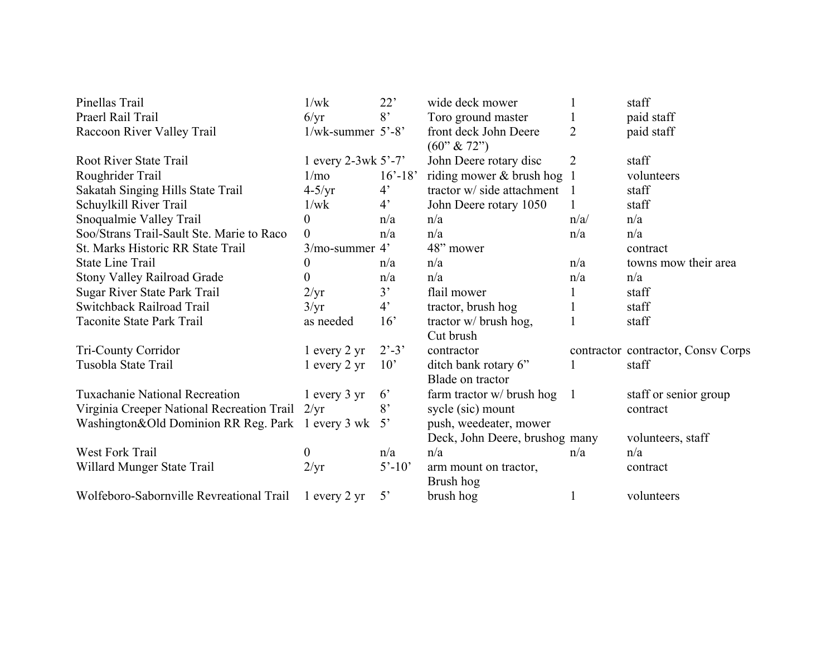| Pinellas Trail                                    | 1/wk                    | 22'                         | wide deck mower                       |                | staff                              |
|---------------------------------------------------|-------------------------|-----------------------------|---------------------------------------|----------------|------------------------------------|
| Praerl Rail Trail                                 | 6/yr                    | 8 <sup>2</sup>              | Toro ground master                    |                | paid staff                         |
| Raccoon River Valley Trail                        | $1/wk$ -summer $5'$ -8' |                             | front deck John Deere<br>$(60"\&72")$ | $\overline{2}$ | paid staff                         |
| Root River State Trail                            | 1 every 2-3wk $5'$ -7'  |                             | John Deere rotary disc                | $\overline{2}$ | staff                              |
| Roughrider Trail                                  | 1/m <sub>o</sub>        | $16' - 18'$                 | riding mower & brush hog              |                | volunteers                         |
| Sakatah Singing Hills State Trail                 | $4-5/yr$                | $4^{\circ}$                 | tractor w/ side attachment            |                | staff                              |
| Schuylkill River Trail                            | 1/wk                    | $4^{\circ}$                 | John Deere rotary 1050                |                | staff                              |
| Snoqualmie Valley Trail                           | 0                       | n/a                         | n/a                                   | n/a/           | n/a                                |
| Soo/Strans Trail-Sault Ste. Marie to Raco         | $\overline{0}$          | n/a                         | n/a                                   | n/a            | n/a                                |
| St. Marks Historic RR State Trail                 | $3/mo$ -summer $4'$     |                             | 48" mower                             |                | contract                           |
| <b>State Line Trail</b>                           | 0                       | n/a                         | n/a                                   | n/a            | towns mow their area               |
| <b>Stony Valley Railroad Grade</b>                | 0                       | n/a                         | n/a                                   | n/a            | n/a                                |
| Sugar River State Park Trail                      | 2/yr                    | 3'                          | flail mower                           |                | staff                              |
| Switchback Railroad Trail                         | 3/yr                    | $4^{\circ}$                 | tractor, brush hog                    |                | staff                              |
| Taconite State Park Trail                         | as needed               | 16'                         | tractor w/ brush hog,                 |                | staff                              |
|                                                   |                         |                             | Cut brush                             |                |                                    |
| Tri-County Corridor                               | $1$ every $2$ yr        | $2^{\degree} - 3^{\degree}$ | contractor                            |                | contractor contractor, Consv Corps |
| Tusobla State Trail                               | $1$ every $2$ yr        | $10^{\circ}$                | ditch bank rotary 6"                  |                | staff                              |
|                                                   |                         |                             | Blade on tractor                      |                |                                    |
| <b>Tuxachanie National Recreation</b>             | $1$ every $3$ yr        | $6^{\circ}$                 | farm tractor w/ brush hog             | $\overline{1}$ | staff or senior group              |
| Virginia Creeper National Recreation Trail 2/yr   |                         | 8'                          | sycle (sic) mount                     |                | contract                           |
| Washington&Old Dominion RR Reg. Park 1 every 3 wk |                         | $5^{\circ}$                 | push, weedeater, mower                |                |                                    |
|                                                   |                         |                             | Deck, John Deere, brushog many        |                | volunteers, staff                  |
| West Fork Trail                                   | 0                       | n/a                         | n/a                                   | n/a            | n/a                                |
| Willard Munger State Trail                        | $2/\text{yr}$           | $5' - 10'$                  | arm mount on tractor,                 |                | contract                           |
|                                                   |                         |                             | Brush hog                             |                |                                    |
| Wolfeboro-Sabornville Revreational Trail          | $1$ every $2$ yr        | $5^{\circ}$                 | brush hog                             |                | volunteers                         |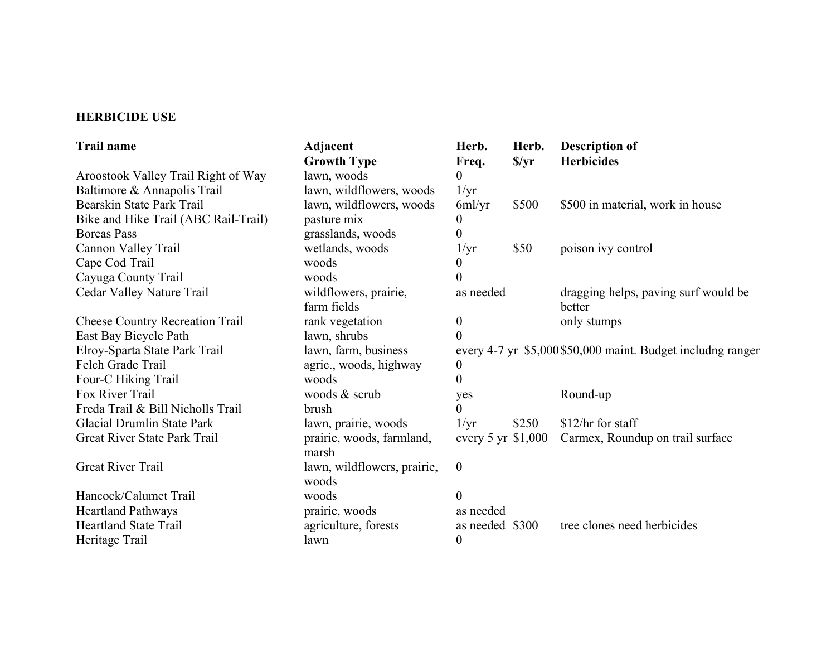#### **HERBICIDE USE**

| <b>Trail name</b>                      | Adjacent                             | Herb.            | Herb.                                   | <b>Description of</b>                                       |  |
|----------------------------------------|--------------------------------------|------------------|-----------------------------------------|-------------------------------------------------------------|--|
|                                        | <b>Growth Type</b>                   | Freq.            | $\sqrt{$yr}$                            | <b>Herbicides</b>                                           |  |
| Aroostook Valley Trail Right of Way    | lawn, woods                          | $\theta$         |                                         |                                                             |  |
| Baltimore & Annapolis Trail            | lawn, wildflowers, woods             | $1/\text{yr}$    |                                         |                                                             |  |
| Bearskin State Park Trail              | lawn, wildflowers, woods             | 6ml/yr           | \$500                                   | \$500 in material, work in house                            |  |
| Bike and Hike Trail (ABC Rail-Trail)   | pasture mix                          | $\theta$         |                                         |                                                             |  |
| <b>Boreas Pass</b>                     | grasslands, woods                    | 0                |                                         |                                                             |  |
| Cannon Valley Trail                    | wetlands, woods                      | $1/\mathrm{yr}$  | \$50                                    | poison ivy control                                          |  |
| Cape Cod Trail                         | woods                                |                  |                                         |                                                             |  |
| Cayuga County Trail                    | woods                                |                  |                                         |                                                             |  |
| Cedar Valley Nature Trail              | wildflowers, prairie,<br>farm fields | as needed        |                                         | dragging helps, paving surf would be<br>better              |  |
| <b>Cheese Country Recreation Trail</b> | rank vegetation                      | $\overline{0}$   |                                         | only stumps                                                 |  |
| East Bay Bicycle Path                  | lawn, shrubs                         | $\Omega$         |                                         |                                                             |  |
| Elroy-Sparta State Park Trail          | lawn, farm, business                 |                  |                                         | every 4-7 yr \$5,000\$50,000 maint. Budget including ranger |  |
| Felch Grade Trail                      | agric., woods, highway               | $\boldsymbol{0}$ |                                         |                                                             |  |
| Four-C Hiking Trail                    | woods                                | $\theta$         |                                         |                                                             |  |
| Fox River Trail                        | woods & scrub                        | yes              |                                         | Round-up                                                    |  |
| Freda Trail & Bill Nicholls Trail      | brush                                |                  |                                         |                                                             |  |
| Glacial Drumlin State Park             | lawn, prairie, woods                 | 1/yr             | \$250                                   | \$12/hr for staff                                           |  |
| Great River State Park Trail           | prairie, woods, farmland,<br>marsh   |                  | every $5 \,\text{yr} \, \text{\$1,000}$ | Carmex, Roundup on trail surface                            |  |
| Great River Trail                      | lawn, wildflowers, prairie,<br>woods | $\mathbf{0}$     |                                         |                                                             |  |
| Hancock/Calumet Trail                  | woods                                | $\overline{0}$   |                                         |                                                             |  |
| <b>Heartland Pathways</b>              | prairie, woods                       | as needed        |                                         |                                                             |  |
| <b>Heartland State Trail</b>           | agriculture, forests                 | as needed \$300  |                                         | tree clones need herbicides                                 |  |
| Heritage Trail                         | lawn                                 | $\theta$         |                                         |                                                             |  |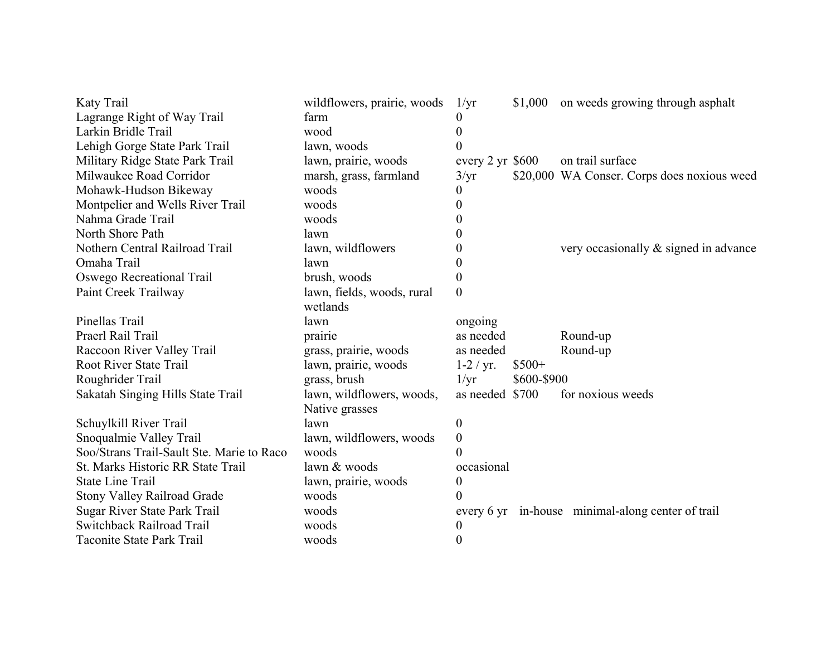| Katy Trail                                | wildflowers, prairie, woods | 1/yr                       |             | \$1,000 on weeds growing through asphalt          |
|-------------------------------------------|-----------------------------|----------------------------|-------------|---------------------------------------------------|
| Lagrange Right of Way Trail               | farm                        | O                          |             |                                                   |
| Larkin Bridle Trail                       | wood                        | 0                          |             |                                                   |
| Lehigh Gorge State Park Trail             | lawn, woods                 | 0                          |             |                                                   |
| Military Ridge State Park Trail           | lawn, prairie, woods        | every $2 \text{ yr}$ \$600 |             | on trail surface                                  |
| Milwaukee Road Corridor                   | marsh, grass, farmland      | 3/yr                       |             | \$20,000 WA Conser. Corps does noxious weed       |
| Mohawk-Hudson Bikeway                     | woods                       | $\theta$                   |             |                                                   |
| Montpelier and Wells River Trail          | woods                       | $\theta$                   |             |                                                   |
| Nahma Grade Trail                         | woods                       | 0                          |             |                                                   |
| North Shore Path                          | lawn                        |                            |             |                                                   |
| Nothern Central Railroad Trail            | lawn, wildflowers           | 0                          |             | very occasionally $\&$ signed in advance          |
| Omaha Trail                               | lawn                        | 0                          |             |                                                   |
| Oswego Recreational Trail                 | brush, woods                | $\theta$                   |             |                                                   |
| Paint Creek Trailway                      | lawn, fields, woods, rural  | $\overline{0}$             |             |                                                   |
|                                           | wetlands                    |                            |             |                                                   |
| Pinellas Trail                            | lawn                        | ongoing                    |             |                                                   |
| Praerl Rail Trail                         | prairie                     | as needed                  |             | Round-up                                          |
| Raccoon River Valley Trail                | grass, prairie, woods       | as needed                  |             | Round-up                                          |
| <b>Root River State Trail</b>             | lawn, prairie, woods        | $1-2 / yr.$                | $$500+$     |                                                   |
| Roughrider Trail                          | grass, brush                | $1/\text{yr}$              | \$600-\$900 |                                                   |
| Sakatah Singing Hills State Trail         | lawn, wildflowers, woods,   | as needed \$700            |             | for noxious weeds                                 |
|                                           | Native grasses              |                            |             |                                                   |
| Schuylkill River Trail                    | lawn                        | 0                          |             |                                                   |
| Snoqualmie Valley Trail                   | lawn, wildflowers, woods    | $\boldsymbol{0}$           |             |                                                   |
| Soo/Strans Trail-Sault Ste. Marie to Raco | woods                       | 0                          |             |                                                   |
| St. Marks Historic RR State Trail         | lawn & woods                | occasional                 |             |                                                   |
| <b>State Line Trail</b>                   | lawn, prairie, woods        | 0                          |             |                                                   |
| <b>Stony Valley Railroad Grade</b>        | woods                       | $\theta$                   |             |                                                   |
| Sugar River State Park Trail              | woods                       |                            |             | every 6 yr in-house minimal-along center of trail |
| <b>Switchback Railroad Trail</b>          | woods                       | 0                          |             |                                                   |
| Taconite State Park Trail                 | woods                       | 0                          |             |                                                   |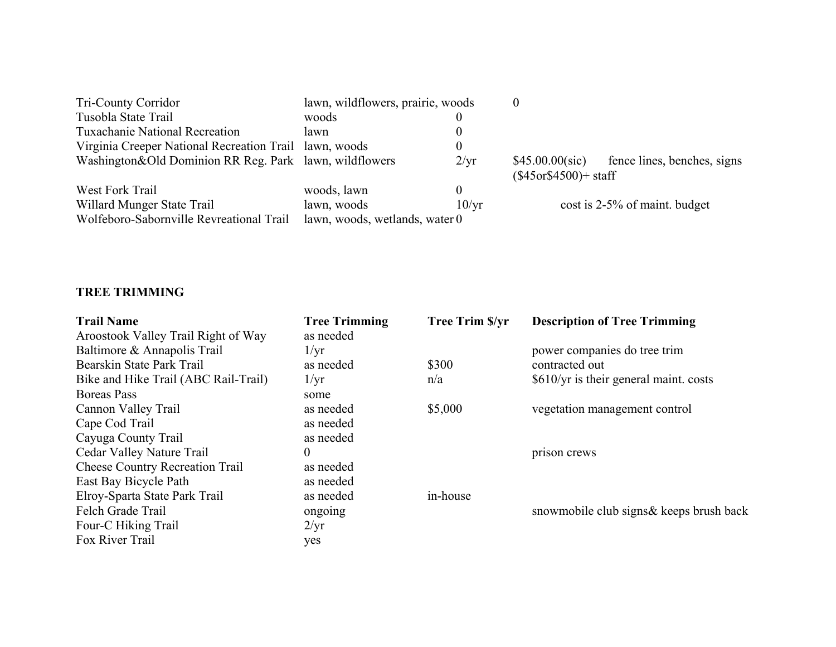| <b>Tri-County Corridor</b>                                             | lawn, wildflowers, prairie, woods             |                 |                                              |                               |
|------------------------------------------------------------------------|-----------------------------------------------|-----------------|----------------------------------------------|-------------------------------|
| Tusobla State Trail                                                    | woods                                         |                 |                                              |                               |
| <b>Tuxachanie National Recreation</b>                                  | lawn                                          |                 |                                              |                               |
| Virginia Creeper National Recreation Trail lawn, woods                 |                                               | $\theta$        |                                              |                               |
| Washington&Old Dominion RR Reg. Park lawn, wildflowers                 |                                               | $2/\mathrm{yr}$ | $$45.00.00$ (sic)<br>$($45$ or\$4500)+ staff | fence lines, benches, signs   |
| West Fork Trail                                                        | woods, lawn                                   | $\Omega$        |                                              |                               |
| Willard Munger State Trail<br>Wolfeboro-Sabornville Revreational Trail | lawn, woods<br>lawn, woods, wetlands, water 0 | 10/yr           |                                              | cost is 2-5% of maint. budget |

#### **TREE TRIMMING**

| <b>Trail Name</b><br>Aroostook Valley Trail Right of Way | <b>Tree Trimming</b><br>as needed | <b>Tree Trim \$/yr</b> | <b>Description of Tree Trimming</b>      |
|----------------------------------------------------------|-----------------------------------|------------------------|------------------------------------------|
| Baltimore & Annapolis Trail                              | $1/\mathrm{yr}$                   |                        | power companies do tree trim             |
| Bearskin State Park Trail                                | as needed                         | \$300                  | contracted out                           |
| Bike and Hike Trail (ABC Rail-Trail)                     | $1/\mathrm{yr}$                   | n/a                    | $$610/yr$ is their general maint. costs  |
| <b>Boreas</b> Pass                                       | some                              |                        |                                          |
| Cannon Valley Trail                                      | as needed                         | \$5,000                | vegetation management control            |
| Cape Cod Trail                                           | as needed                         |                        |                                          |
| Cayuga County Trail                                      | as needed                         |                        |                                          |
| Cedar Valley Nature Trail                                | $\Omega$                          |                        | prison crews                             |
| <b>Cheese Country Recreation Trail</b>                   | as needed                         |                        |                                          |
| East Bay Bicycle Path                                    | as needed                         |                        |                                          |
| Elroy-Sparta State Park Trail                            | as needed                         | in-house               |                                          |
| Felch Grade Trail                                        | ongoing                           |                        | snowmobile club signs & keeps brush back |
| Four-C Hiking Trail                                      | 2/yr                              |                        |                                          |
| Fox River Trail                                          | yes                               |                        |                                          |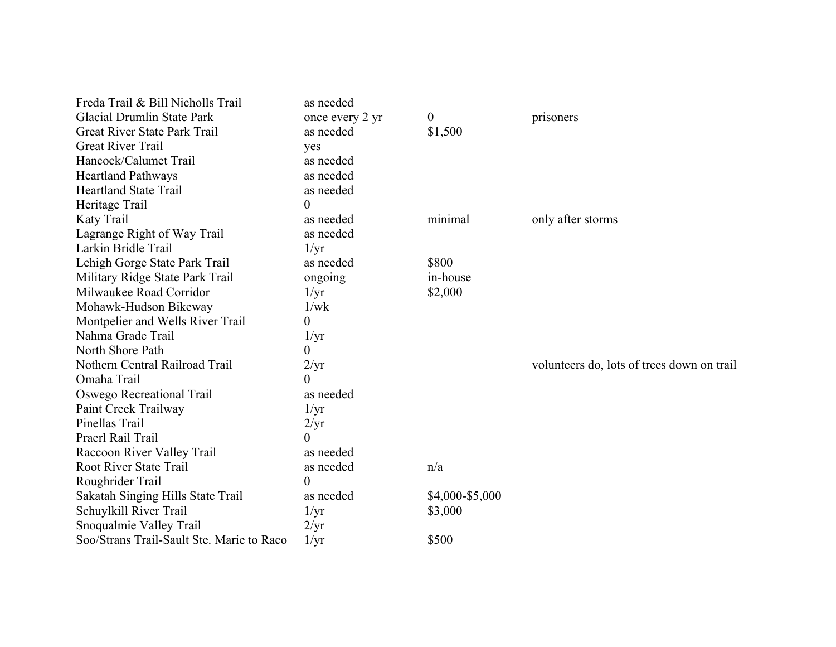| Freda Trail & Bill Nicholls Trail         | as needed       |                  |                                            |
|-------------------------------------------|-----------------|------------------|--------------------------------------------|
| <b>Glacial Drumlin State Park</b>         | once every 2 yr | $\boldsymbol{0}$ | prisoners                                  |
| Great River State Park Trail              | as needed       | \$1,500          |                                            |
| <b>Great River Trail</b>                  | yes             |                  |                                            |
| Hancock/Calumet Trail                     | as needed       |                  |                                            |
| <b>Heartland Pathways</b>                 | as needed       |                  |                                            |
| <b>Heartland State Trail</b>              | as needed       |                  |                                            |
| Heritage Trail                            | 0               |                  |                                            |
| Katy Trail                                | as needed       | minimal          | only after storms                          |
| Lagrange Right of Way Trail               | as needed       |                  |                                            |
| Larkin Bridle Trail                       | 1/yr            |                  |                                            |
| Lehigh Gorge State Park Trail             | as needed       | \$800            |                                            |
| Military Ridge State Park Trail           | ongoing         | in-house         |                                            |
| Milwaukee Road Corridor                   | $1/\text{yr}$   | \$2,000          |                                            |
| Mohawk-Hudson Bikeway                     | 1/wk            |                  |                                            |
| Montpelier and Wells River Trail          | 0               |                  |                                            |
| Nahma Grade Trail                         | 1/yr            |                  |                                            |
| North Shore Path                          | 0               |                  |                                            |
| Nothern Central Railroad Trail            | 2/yr            |                  | volunteers do, lots of trees down on trail |
| Omaha Trail                               | 0               |                  |                                            |
| Oswego Recreational Trail                 | as needed       |                  |                                            |
| Paint Creek Trailway                      | $1/\mathrm{yr}$ |                  |                                            |
| Pinellas Trail                            | 2/yr            |                  |                                            |
| Praerl Rail Trail                         | $\overline{0}$  |                  |                                            |
| Raccoon River Valley Trail                | as needed       |                  |                                            |
| Root River State Trail                    | as needed       | n/a              |                                            |
| Roughrider Trail                          | $\overline{0}$  |                  |                                            |
| Sakatah Singing Hills State Trail         | as needed       | \$4,000-\$5,000  |                                            |
| Schuylkill River Trail                    | $1/\text{yr}$   | \$3,000          |                                            |
| Snoqualmie Valley Trail                   | $2/\text{yr}$   |                  |                                            |
| Soo/Strans Trail-Sault Ste. Marie to Raco | $1/\mathrm{yr}$ | \$500            |                                            |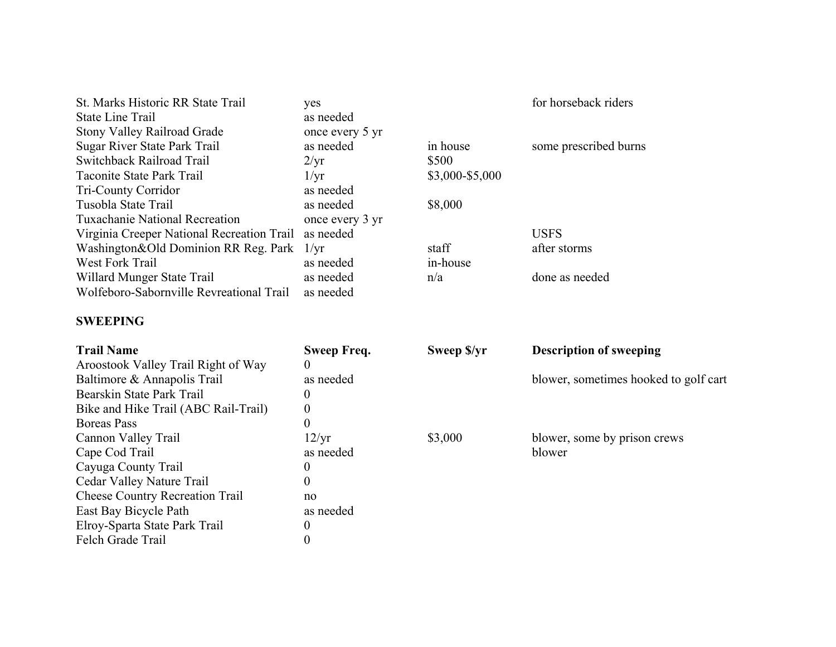| St. Marks Historic RR State Trail<br><b>State Line Trail</b><br>Stony Valley Railroad Grade | yes<br>as needed<br>once every 5 yr |                 | for horseback riders                  |
|---------------------------------------------------------------------------------------------|-------------------------------------|-----------------|---------------------------------------|
| Sugar River State Park Trail                                                                | as needed                           | in house        | some prescribed burns                 |
| Switchback Railroad Trail                                                                   | $2/\mathrm{yr}$                     | \$500           |                                       |
| Taconite State Park Trail                                                                   | 1/yr                                | \$3,000-\$5,000 |                                       |
| Tri-County Corridor                                                                         | as needed                           |                 |                                       |
| Tusobla State Trail                                                                         | as needed                           | \$8,000         |                                       |
| <b>Tuxachanie National Recreation</b>                                                       | once every 3 yr                     |                 |                                       |
| Virginia Creeper National Recreation Trail as needed                                        |                                     |                 | <b>USFS</b>                           |
| Washington&Old Dominion RR Reg. Park 1/yr                                                   |                                     | staff           | after storms                          |
| <b>West Fork Trail</b>                                                                      | as needed                           | in-house        |                                       |
| Willard Munger State Trail                                                                  | as needed                           | n/a             | done as needed                        |
| Wolfeboro-Sabornville Revreational Trail                                                    | as needed                           |                 |                                       |
| <b>SWEEPING</b>                                                                             |                                     |                 |                                       |
|                                                                                             |                                     |                 |                                       |
| <b>Trail Name</b>                                                                           | <b>Sweep Freq.</b>                  | Sweep \$/yr     | <b>Description of sweeping</b>        |
| Aroostook Valley Trail Right of Way                                                         | $\theta$                            |                 |                                       |
| Baltimore & Annapolis Trail                                                                 | as needed                           |                 | blower, sometimes hooked to golf cart |
| Bearskin State Park Trail                                                                   | $\boldsymbol{0}$                    |                 |                                       |
| Bike and Hike Trail (ABC Rail-Trail)                                                        | $\boldsymbol{0}$                    |                 |                                       |
| <b>Boreas Pass</b>                                                                          | $\overline{0}$                      |                 |                                       |
| Cannon Valley Trail                                                                         | 12/yr                               | \$3,000         | blower, some by prison crews          |
| Cape Cod Trail                                                                              | as needed                           |                 | blower                                |
| Cayuga County Trail                                                                         | $\boldsymbol{0}$                    |                 |                                       |
| Cedar Valley Nature Trail                                                                   | $\overline{0}$                      |                 |                                       |
| <b>Cheese Country Recreation Trail</b>                                                      | no                                  |                 |                                       |
| East Bay Bicycle Path                                                                       | as needed                           |                 |                                       |
| Elroy-Sparta State Park Trail                                                               | $\boldsymbol{0}$                    |                 |                                       |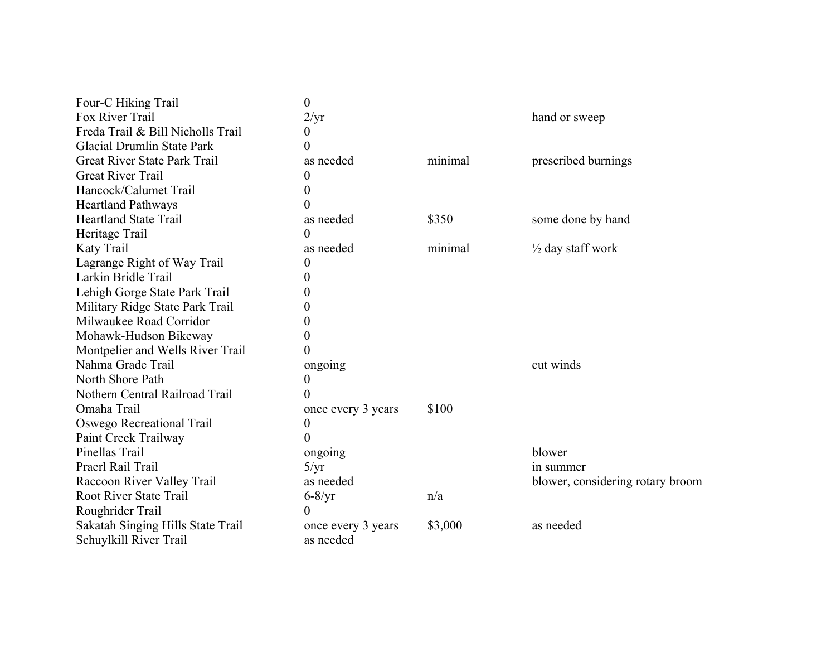| Four-C Hiking Trail               | $\boldsymbol{0}$   |         |                                  |
|-----------------------------------|--------------------|---------|----------------------------------|
| Fox River Trail                   | 2/yr               |         | hand or sweep                    |
| Freda Trail & Bill Nicholls Trail | $\theta$           |         |                                  |
| <b>Glacial Drumlin State Park</b> | $\theta$           |         |                                  |
| Great River State Park Trail      | as needed          | minimal | prescribed burnings              |
| <b>Great River Trail</b>          | 0                  |         |                                  |
| Hancock/Calumet Trail             | $\theta$           |         |                                  |
| <b>Heartland Pathways</b>         | 0                  |         |                                  |
| <b>Heartland State Trail</b>      | as needed          | \$350   | some done by hand                |
| Heritage Trail                    | $\theta$           |         |                                  |
| Katy Trail                        | as needed          | minimal | $\frac{1}{2}$ day staff work     |
| Lagrange Right of Way Trail       | 0                  |         |                                  |
| Larkin Bridle Trail               | $\theta$           |         |                                  |
| Lehigh Gorge State Park Trail     | 0                  |         |                                  |
| Military Ridge State Park Trail   | 0                  |         |                                  |
| Milwaukee Road Corridor           | 0                  |         |                                  |
| Mohawk-Hudson Bikeway             | 0                  |         |                                  |
| Montpelier and Wells River Trail  | 0                  |         |                                  |
| Nahma Grade Trail                 | ongoing            |         | cut winds                        |
| North Shore Path                  | 0                  |         |                                  |
| Nothern Central Railroad Trail    | 0                  |         |                                  |
| Omaha Trail                       | once every 3 years | \$100   |                                  |
| Oswego Recreational Trail         | $\boldsymbol{0}$   |         |                                  |
| Paint Creek Trailway              | 0                  |         |                                  |
| Pinellas Trail                    | ongoing            |         | blower                           |
| Praerl Rail Trail                 | 5/yr               |         | in summer                        |
| Raccoon River Valley Trail        | as needed          |         | blower, considering rotary broom |
| <b>Root River State Trail</b>     | $6 - 8/yr$         | n/a     |                                  |
| Roughrider Trail                  | $\Omega$           |         |                                  |
| Sakatah Singing Hills State Trail | once every 3 years | \$3,000 | as needed                        |
| Schuylkill River Trail            | as needed          |         |                                  |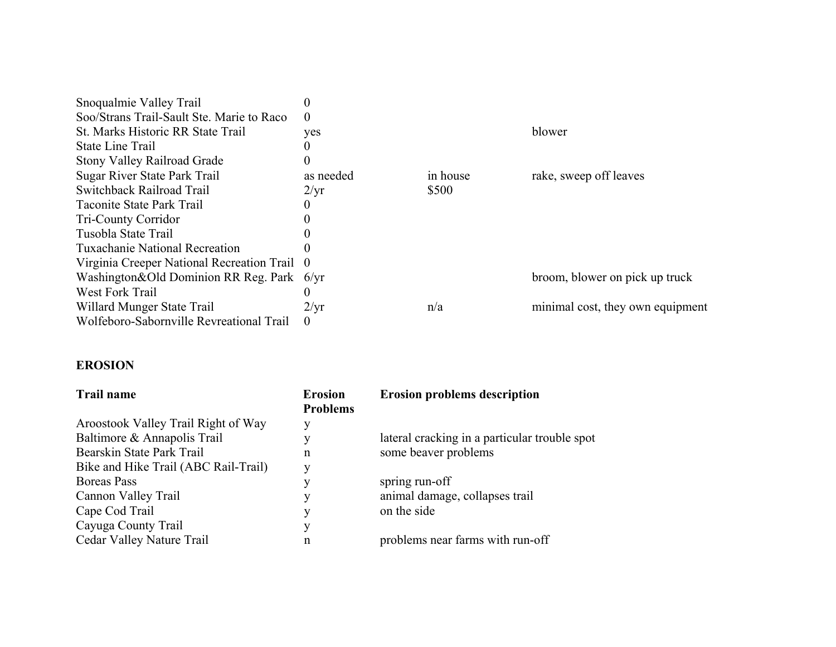| Snoqualmie Valley Trail                       |                 |          |                                  |
|-----------------------------------------------|-----------------|----------|----------------------------------|
| Soo/Strans Trail-Sault Ste. Marie to Raco     | $\Omega$        |          |                                  |
| St. Marks Historic RR State Trail             | yes             |          | blower                           |
| State Line Trail                              |                 |          |                                  |
| <b>Stony Valley Railroad Grade</b>            | 0               |          |                                  |
| Sugar River State Park Trail                  | as needed       | in house | rake, sweep off leaves           |
| Switchback Railroad Trail                     | $2/\mathrm{yr}$ | \$500    |                                  |
| Taconite State Park Trail                     |                 |          |                                  |
| <b>Tri-County Corridor</b>                    |                 |          |                                  |
| Tusobla State Trail                           |                 |          |                                  |
| Tuxachanie National Recreation                |                 |          |                                  |
| Virginia Creeper National Recreation Trail 0  |                 |          |                                  |
| Washington & Old Dominion RR Reg. Park $6/yr$ |                 |          | broom, blower on pick up truck   |
| West Fork Trail                               | 0               |          |                                  |
| Willard Munger State Trail                    | $2/\mathrm{yr}$ | n/a      | minimal cost, they own equipment |
| Wolfeboro-Sabornville Revreational Trail      | $\theta$        |          |                                  |

#### **EROSION**

| <b>Trail name</b>                    | <b>Erosion</b><br><b>Problems</b> | <b>Erosion problems description</b>           |
|--------------------------------------|-----------------------------------|-----------------------------------------------|
| Aroostook Valley Trail Right of Way  | y                                 |                                               |
| Baltimore & Annapolis Trail          | v                                 | lateral cracking in a particular trouble spot |
| Bearskin State Park Trail            | n                                 | some beaver problems                          |
| Bike and Hike Trail (ABC Rail-Trail) | y                                 |                                               |
| <b>Boreas</b> Pass                   | V                                 | spring run-off                                |
| Cannon Valley Trail                  | y                                 | animal damage, collapses trail                |
| Cape Cod Trail                       | v                                 | on the side                                   |
| Cayuga County Trail                  | у                                 |                                               |
| Cedar Valley Nature Trail            | n                                 | problems near farms with run-off              |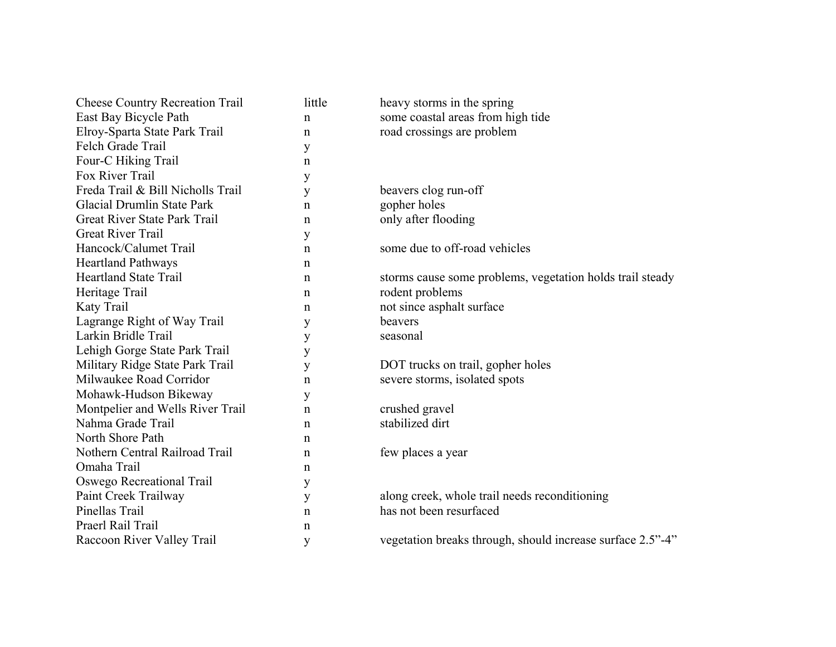| <b>Cheese Country Recreation Trail</b> | little      | heavy storms in the spring                                 |
|----------------------------------------|-------------|------------------------------------------------------------|
| East Bay Bicycle Path                  | n           | some coastal areas from high tide                          |
| Elroy-Sparta State Park Trail          | $\mathbf n$ | road crossings are problem                                 |
| Felch Grade Trail                      | y           |                                                            |
| Four-C Hiking Trail                    | n           |                                                            |
| Fox River Trail                        | y           |                                                            |
| Freda Trail & Bill Nicholls Trail      | y           | beavers clog run-off                                       |
| Glacial Drumlin State Park             | n           | gopher holes                                               |
| Great River State Park Trail           | n           | only after flooding                                        |
| <b>Great River Trail</b>               | y           |                                                            |
| Hancock/Calumet Trail                  | n           | some due to off-road vehicles                              |
| <b>Heartland Pathways</b>              | $\mathbf n$ |                                                            |
| <b>Heartland State Trail</b>           | n           | storms cause some problems, vegetation holds trail steady  |
| Heritage Trail                         | n           | rodent problems                                            |
| Katy Trail                             | n           | not since asphalt surface                                  |
| Lagrange Right of Way Trail            | y           | beavers                                                    |
| Larkin Bridle Trail                    | y           | seasonal                                                   |
| Lehigh Gorge State Park Trail          | y           |                                                            |
| Military Ridge State Park Trail        | y           | DOT trucks on trail, gopher holes                          |
| Milwaukee Road Corridor                | n           | severe storms, isolated spots                              |
| Mohawk-Hudson Bikeway                  | у           |                                                            |
| Montpelier and Wells River Trail       | $\mathbf n$ | crushed gravel                                             |
| Nahma Grade Trail                      | n           | stabilized dirt                                            |
| North Shore Path                       | n           |                                                            |
| Nothern Central Railroad Trail         | n           | few places a year                                          |
| Omaha Trail                            | n           |                                                            |
| Oswego Recreational Trail              | y           |                                                            |
| Paint Creek Trailway                   | y           | along creek, whole trail needs reconditioning              |
| Pinellas Trail                         | n           | has not been resurfaced                                    |
| Praerl Rail Trail                      | n           |                                                            |
| Raccoon River Valley Trail             | у           | vegetation breaks through, should increase surface 2.5"-4" |
|                                        |             |                                                            |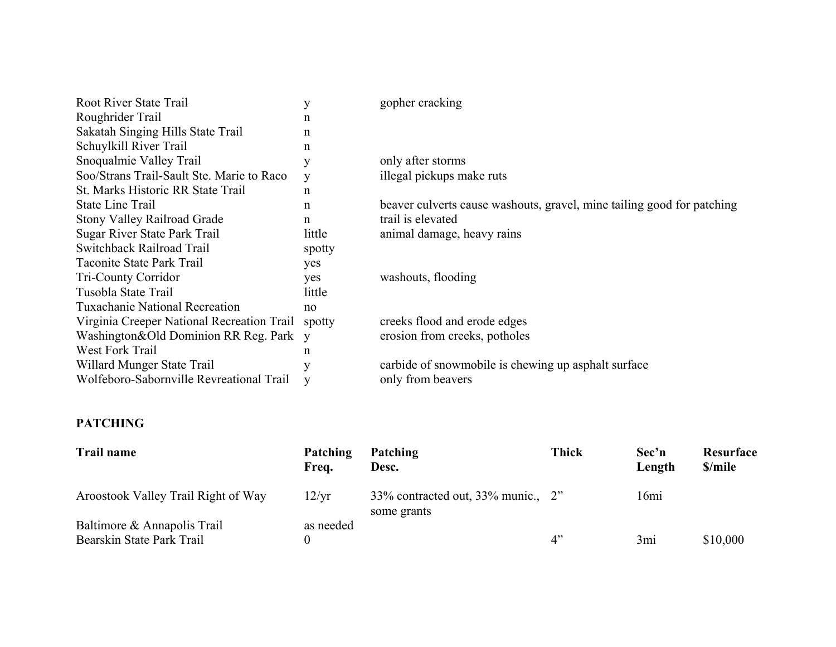| Root River State Trail                     |        | gopher cracking                                                        |
|--------------------------------------------|--------|------------------------------------------------------------------------|
| Roughrider Trail                           | n      |                                                                        |
| Sakatah Singing Hills State Trail          | n      |                                                                        |
| Schuylkill River Trail                     | n      |                                                                        |
| Snoqualmie Valley Trail                    | у      | only after storms                                                      |
| Soo/Strans Trail-Sault Ste. Marie to Raco  | y      | illegal pickups make ruts                                              |
| St. Marks Historic RR State Trail          | n      |                                                                        |
| <b>State Line Trail</b>                    | n      | beaver culverts cause washouts, gravel, mine tailing good for patching |
| <b>Stony Valley Railroad Grade</b>         | n      | trail is elevated                                                      |
| Sugar River State Park Trail               | little | animal damage, heavy rains                                             |
| Switchback Railroad Trail                  | spotty |                                                                        |
| Taconite State Park Trail                  | yes    |                                                                        |
| Tri-County Corridor                        | yes    | washouts, flooding                                                     |
| Tusobla State Trail                        | little |                                                                        |
| <b>Tuxachanie National Recreation</b>      | no     |                                                                        |
| Virginia Creeper National Recreation Trail | spotty | creeks flood and erode edges                                           |
| Washington&Old Dominion RR Reg. Park       | V      | erosion from creeks, potholes                                          |
| West Fork Trail                            | n      |                                                                        |
| Willard Munger State Trail                 |        | carbide of snowmobile is chewing up asphalt surface                    |
| Wolfeboro-Sabornville Revreational Trail   |        | only from beavers                                                      |

# **PATCHING**

| <b>Trail name</b>                                        | Patching<br>Freq. | <b>Patching</b><br>Desc.                          | <b>Thick</b> | Sec'n<br>Length | Resurface<br>\$/mile |
|----------------------------------------------------------|-------------------|---------------------------------------------------|--------------|-----------------|----------------------|
| Aroostook Valley Trail Right of Way                      | 12/yr             | 33% contracted out, 33% munic., 2"<br>some grants |              | 16mi            |                      |
| Baltimore & Annapolis Trail<br>Bearskin State Park Trail | as needed         |                                                   | 4"           | 3mi             | \$10,000             |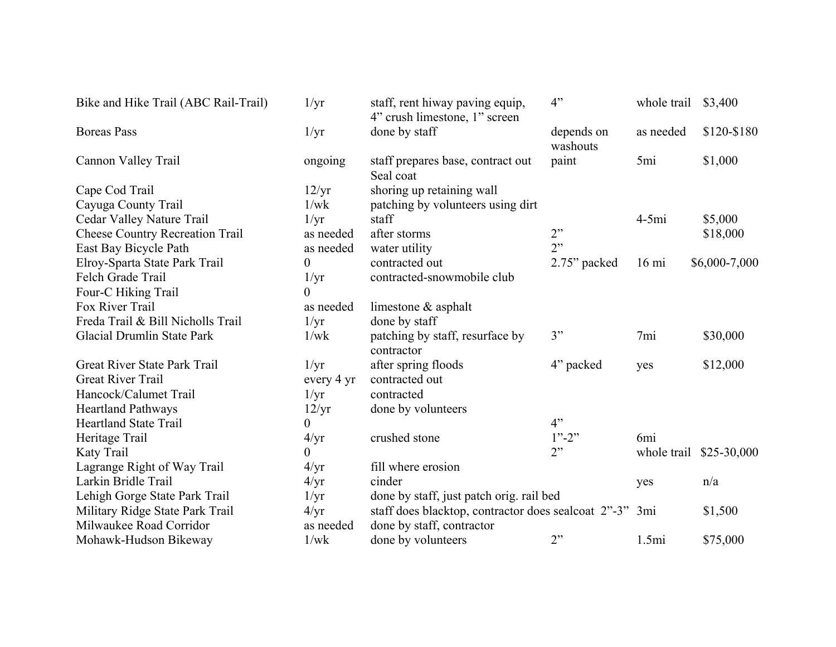| Bike and Hike Trail (ABC Rail-Trail)   | 1/yr             | staff, rent hiway paving equip,<br>4" crush limestone, 1" screen | 4"                     | whole trail     | \$3,400       |
|----------------------------------------|------------------|------------------------------------------------------------------|------------------------|-----------------|---------------|
| <b>Boreas Pass</b>                     | 1/yr             | done by staff                                                    | depends on<br>washouts | as needed       | \$120-\$180   |
| Cannon Valley Trail                    | ongoing          | staff prepares base, contract out<br>Seal coat                   | paint                  | 5mi             | \$1,000       |
| Cape Cod Trail                         | 12/yr            | shoring up retaining wall                                        |                        |                 |               |
| Cayuga County Trail                    | 1/wk             | patching by volunteers using dirt                                |                        |                 |               |
| Cedar Valley Nature Trail              | 1/yr             | staff                                                            |                        | $4-5mi$         | \$5,000       |
| <b>Cheese Country Recreation Trail</b> | as needed        | after storms                                                     | 2"                     |                 | \$18,000      |
| East Bay Bicycle Path                  | as needed        | water utility                                                    | 2"                     |                 |               |
| Elroy-Sparta State Park Trail          | $\boldsymbol{0}$ | contracted out                                                   | 2.75" packed           | $16 \text{ mi}$ | \$6,000-7,000 |
| Felch Grade Trail                      | 1/yr             | contracted-snowmobile club                                       |                        |                 |               |
| Four-C Hiking Trail                    | $\boldsymbol{0}$ |                                                                  |                        |                 |               |
| Fox River Trail                        | as needed        | limestone $\&$ asphalt                                           |                        |                 |               |
| Freda Trail & Bill Nicholls Trail      | $1/\text{yr}$    | done by staff                                                    |                        |                 |               |
| <b>Glacial Drumlin State Park</b>      | 1/wk             | patching by staff, resurface by<br>contractor                    | 3"                     | 7mi             | \$30,000      |
| Great River State Park Trail           | 1/yr             | after spring floods                                              | 4" packed              | yes             | \$12,000      |
| <b>Great River Trail</b>               | every 4 yr       | contracted out                                                   |                        |                 |               |
| Hancock/Calumet Trail                  | 1/yr             | contracted                                                       |                        |                 |               |
| <b>Heartland Pathways</b>              | 12/yr            | done by volunteers                                               |                        |                 |               |
| <b>Heartland State Trail</b>           | 0                |                                                                  | 4"                     |                 |               |
| Heritage Trail                         | 4/yr             | crushed stone                                                    | $1" - 2"$              | 6 <sub>mi</sub> |               |
| Katy Trail                             | $\theta$         |                                                                  | 2"                     | whole trail     | \$25-30,000   |
| Lagrange Right of Way Trail            | 4/yr             | fill where erosion                                               |                        |                 |               |
| Larkin Bridle Trail                    | $4/\text{yr}$    | cinder                                                           |                        | yes             | n/a           |
| Lehigh Gorge State Park Trail          | $1/\text{yr}$    | done by staff, just patch orig. rail bed                         |                        |                 |               |
| Military Ridge State Park Trail        | $4/\text{yr}$    | staff does blacktop, contractor does sealcoat 2"-3" 3mi          |                        |                 | \$1,500       |
| Milwaukee Road Corridor                | as needed        | done by staff, contractor                                        |                        |                 |               |
| Mohawk-Hudson Bikeway                  | 1/wk             | done by volunteers                                               | 2"                     | 1.5mi           | \$75,000      |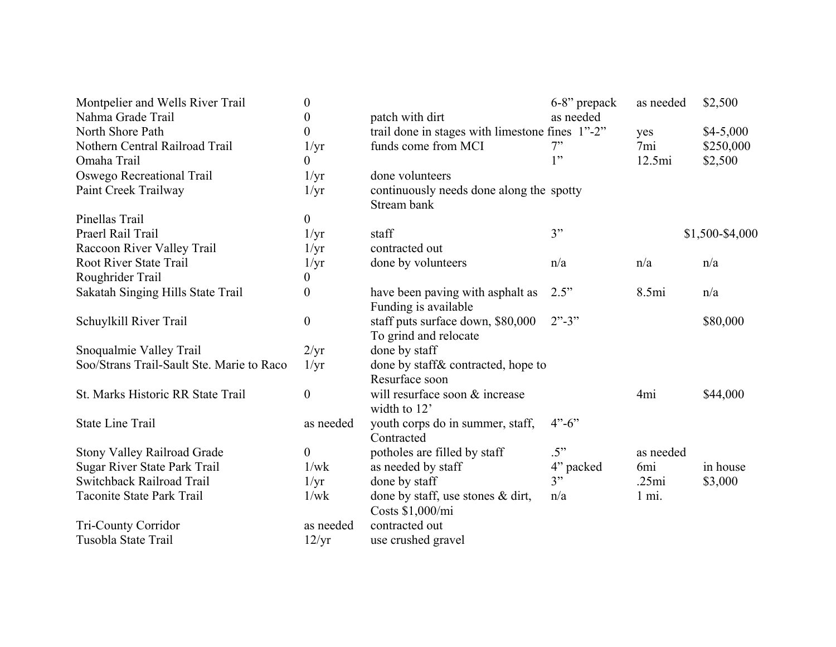| Montpelier and Wells River Trail          | $\theta$         |                                                            | 6-8" prepack                       | as needed       | \$2,500         |
|-------------------------------------------|------------------|------------------------------------------------------------|------------------------------------|-----------------|-----------------|
| Nahma Grade Trail                         | $\boldsymbol{0}$ | patch with dirt                                            | as needed                          |                 |                 |
| North Shore Path                          | $\overline{0}$   | trail done in stages with limestone fines 1"-2"            |                                    | yes             | $$4-5,000$      |
| Nothern Central Railroad Trail            | $1/\text{yr}$    | funds come from MCI                                        | 7"                                 | 7mi             | \$250,000       |
| Omaha Trail                               | 0                |                                                            | 1"                                 | 12.5mi          | \$2,500         |
| Oswego Recreational Trail                 | $1/\mathrm{yr}$  | done volunteers                                            |                                    |                 |                 |
| Paint Creek Trailway                      | $1/\text{yr}$    | continuously needs done along the spotty<br>Stream bank    |                                    |                 |                 |
| Pinellas Trail                            | $\boldsymbol{0}$ |                                                            |                                    |                 |                 |
| Praerl Rail Trail                         | $1/\mathrm{yr}$  | staff                                                      | 3"                                 |                 | \$1,500-\$4,000 |
| Raccoon River Valley Trail                | $1/\text{yr}$    | contracted out                                             |                                    |                 |                 |
| <b>Root River State Trail</b>             | $1/\text{yr}$    | done by volunteers                                         | n/a                                | n/a             | n/a             |
| Roughrider Trail                          | $\boldsymbol{0}$ |                                                            |                                    |                 |                 |
| Sakatah Singing Hills State Trail         | $\overline{0}$   | have been paving with asphalt as<br>Funding is available   | 2.5"                               | 8.5mi           | n/a             |
| Schuylkill River Trail                    | $\boldsymbol{0}$ | staff puts surface down, \$80,000<br>To grind and relocate | $2" - 3"$                          |                 | \$80,000        |
| Snoqualmie Valley Trail                   | 2/yr             | done by staff                                              |                                    |                 |                 |
| Soo/Strans Trail-Sault Ste. Marie to Raco | $1/\text{yr}$    | done by staff & contracted, hope to<br>Resurface soon      |                                    |                 |                 |
| St. Marks Historic RR State Trail         | $\boldsymbol{0}$ | will resurface soon & increase<br>width to 12'             |                                    | 4 <sub>mi</sub> | \$44,000        |
| <b>State Line Trail</b>                   | as needed        | youth corps do in summer, staff,<br>Contracted             | $4^{\prime\prime}$ -6 <sup>"</sup> |                 |                 |
| <b>Stony Valley Railroad Grade</b>        | $\boldsymbol{0}$ | potholes are filled by staff                               | .5"                                | as needed       |                 |
| Sugar River State Park Trail              | 1/wk             | as needed by staff                                         | 4" packed                          | 6 <sub>mi</sub> | in house        |
| Switchback Railroad Trail                 | $1/\mathrm{yr}$  | done by staff                                              | 3"                                 | .25mi           | \$3,000         |
| <b>Taconite State Park Trail</b>          | 1/wk             | done by staff, use stones $\&$ dirt,<br>Costs \$1,000/mi   | n/a                                | $1 \text{ mi.}$ |                 |
| Tri-County Corridor                       | as needed        | contracted out                                             |                                    |                 |                 |
| Tusobla State Trail                       | 12/yr            | use crushed gravel                                         |                                    |                 |                 |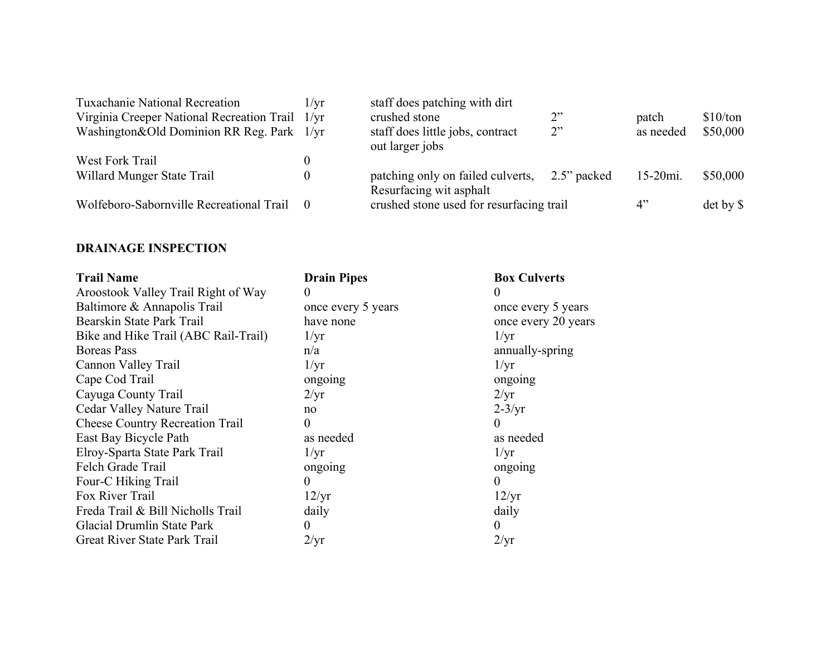| <b>Tuxachanie National Recreation</b>           | 1/vr           | staff does patching with dirt                                |             |             |               |
|-------------------------------------------------|----------------|--------------------------------------------------------------|-------------|-------------|---------------|
| Virginia Creeper National Recreation Trail 1/yr |                | crushed stone                                                | 2"          | patch       | \$10/ton      |
| Washington&Old Dominion RR Reg. Park 1/yr       |                | staff does little jobs, contract<br>out larger jobs          | 2"          | as needed   | \$50,000      |
| West Fork Trail                                 |                |                                                              |             |             |               |
| Willard Munger State Trail                      | $\overline{0}$ | patching only on failed culverts,<br>Resurfacing wit asphalt | 2.5" packed | $15-20mi$ . | \$50,000      |
| Wolfeboro-Sabornville Recreational Trail        | $\bigcirc$     | crushed stone used for resurfacing trail                     |             | 4"          | $\det$ by $\$ |

#### **DRAINAGE INSPECTION**

| <b>Trail Name</b>                      | <b>Drain Pipes</b> | <b>Box Culverts</b> |
|----------------------------------------|--------------------|---------------------|
| Aroostook Valley Trail Right of Way    | $\theta$           | $\theta$            |
| Baltimore & Annapolis Trail            | once every 5 years | once every 5 years  |
| Bearskin State Park Trail              | have none          | once every 20 years |
| Bike and Hike Trail (ABC Rail-Trail)   | $1/\mathrm{yr}$    | 1/yr                |
| <b>Boreas Pass</b>                     | n/a                | annually-spring     |
| Cannon Valley Trail                    | 1/yr               | 1/yr                |
| Cape Cod Trail                         | ongoing            | ongoing             |
| Cayuga County Trail                    | $2/\text{yr}$      | 2/yr                |
| Cedar Valley Nature Trail              | no                 | $2-3/yr$            |
| <b>Cheese Country Recreation Trail</b> | $\overline{0}$     | $\theta$            |
| East Bay Bicycle Path                  | as needed          | as needed           |
| Elroy-Sparta State Park Trail          | $1/\mathrm{yr}$    | $1/\mathrm{yr}$     |
| Felch Grade Trail                      | ongoing            | ongoing             |
| Four-C Hiking Trail                    | $\theta$           | 0                   |
| Fox River Trail                        | 12/yr              | 12/yr               |
| Freda Trail & Bill Nicholls Trail      | daily              | daily               |
| Glacial Drumlin State Park             | 0                  | $\theta$            |
| Great River State Park Trail           | $2/\text{yr}$      | 2/yr                |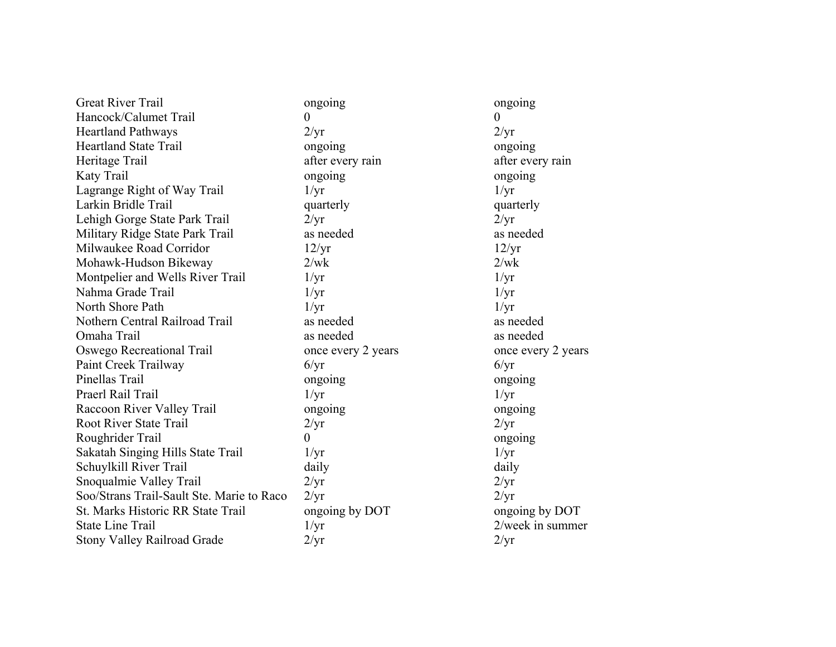Great River Trail ongoing ongoing ongoing ongoing Hancock/Calumet Trail 0 0 Heartland Pathways 2/yr 2/yr Heartland State Trail ongoing ongoing ongoing Heritage Trail after every rain after every rain after every rain Katy Trail ongoing ongoing ongoing ongoing Lagrange Right of Way Trail  $1/\text{yr}$  1/yr Larkin Bridle Trail quarterly quarterly quarterly quarterly Lehigh Gorge State Park Trail 2/yr 2/yr Military Ridge State Park Trail as needed as needed Milwaukee Road Corridor 12/yr 12/yr 12/yr Mohawk-Hudson Bikeway 2/wk 2/wk Montpelier and Wells River Trail 1/yr 1/yr Nahma Grade Trail 1/yr 1/yr North Shore Path 1/yr 1/yr 1/yr Nothern Central Railroad Trail as needed as needed Omaha Trail as needed as needed Oswego Recreational Trail once every 2 years once every 2 years Paint Creek Trailway 6/yr 6/yr Pinellas Trail ongoing ongoing ongoing ongoing Praerl Rail Trail 1/yr 1/yr Raccoon River Valley Trail ongoing ongoing ongoing Root River State Trail 2/yr 2/yr Roughrider Trail 0 ongoing Sakatah Singing Hills State Trail 1/yr 1/yr Schuylkill River Trail daily daily daily daily Snoqualmie Valley Trail 2/yr 2/yr Soo/Strans Trail-Sault Ste. Marie to Raco 2/yr 2/yr St. Marks Historic RR State Trail ongoing by DOT ongoing by DOT State Line Trail 1/yr 2/week in summer Stony Valley Railroad Grade 2/yr 2/yr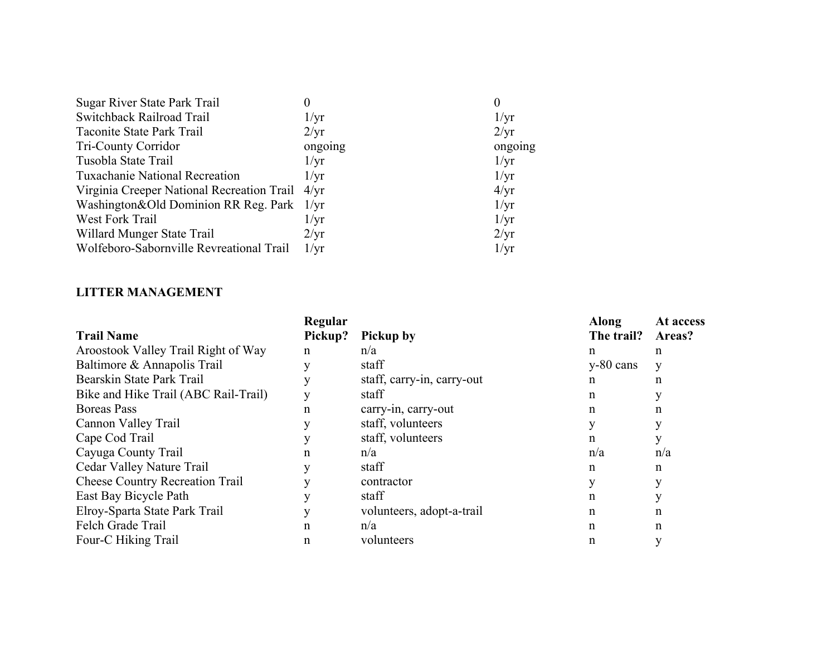| Sugar River State Park Trail                    |                 | O               |
|-------------------------------------------------|-----------------|-----------------|
| Switchback Railroad Trail                       | $1/\mathrm{yr}$ | $1/\mathrm{yr}$ |
| Taconite State Park Trail                       | $2/\mathrm{yr}$ | 2/yr            |
| <b>Tri-County Corridor</b>                      | ongoing         | ongoing         |
| Tusobla State Trail                             | $1/\mathrm{yr}$ | $1/\mathrm{yr}$ |
| <b>Tuxachanie National Recreation</b>           | $1/\mathrm{yr}$ | 1/yr            |
| Virginia Creeper National Recreation Trail 4/yr |                 | 4/yr            |
| Washington&Old Dominion RR Reg. Park 1/yr       |                 | $1/\text{yr}$   |
| West Fork Trail                                 | $1/\mathrm{yr}$ | 1/yr            |
| Willard Munger State Trail                      | $2/\text{yr}$   | 2/yr            |
| Wolfeboro-Sabornville Revreational Trail        | $1/\mathrm{yr}$ | $1/\mathrm{yr}$ |

#### **LITTER MANAGEMENT**

|                                        | Regular     |                            | Along       | At access |
|----------------------------------------|-------------|----------------------------|-------------|-----------|
| <b>Trail Name</b>                      | Pickup?     | <b>Pickup by</b>           | The trail?  | Areas?    |
| Aroostook Valley Trail Right of Way    | $\mathbf n$ | n/a                        | n           | n         |
| Baltimore & Annapolis Trail            |             | staff                      | $y-80$ cans | y         |
| Bearskin State Park Trail              |             | staff, carry-in, carry-out | n           | n         |
| Bike and Hike Trail (ABC Rail-Trail)   |             | staff                      | n           |           |
| <b>Boreas Pass</b>                     | n           | carry-in, carry-out        | n           | n         |
| Cannon Valley Trail                    |             | staff, volunteers          |             |           |
| Cape Cod Trail                         |             | staff, volunteers          | n           |           |
| Cayuga County Trail                    | n           | n/a                        | n/a         | n/a       |
| Cedar Valley Nature Trail              |             | staff                      | n           | n         |
| <b>Cheese Country Recreation Trail</b> |             | contractor                 |             | v         |
| East Bay Bicycle Path                  |             | staff                      | n           | v         |
| Elroy-Sparta State Park Trail          |             | volunteers, adopt-a-trail  | n           | n         |
| Felch Grade Trail                      | n           | n/a                        | n           | n         |
| Four-C Hiking Trail                    | n           | volunteers                 | n           | V         |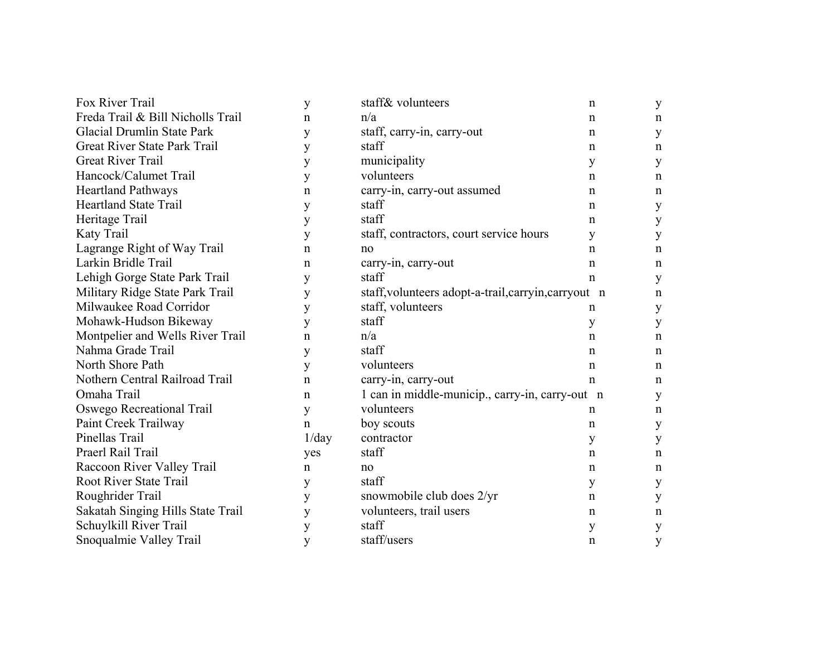| Fox River Trail                   | y            | staff& volunteers                                    | n           | y           |
|-----------------------------------|--------------|------------------------------------------------------|-------------|-------------|
| Freda Trail & Bill Nicholls Trail | $\mathsf{n}$ | n/a                                                  | $\mathbf n$ | n           |
| Glacial Drumlin State Park        | y            | staff, carry-in, carry-out                           | n           | y           |
| Great River State Park Trail      | y            | staff                                                | n           | n           |
| <b>Great River Trail</b>          | y            | municipality                                         | y           | y           |
| Hancock/Calumet Trail             | y            | volunteers                                           | n           | n           |
| <b>Heartland Pathways</b>         | $\mathbf n$  | carry-in, carry-out assumed                          | n           | n           |
| <b>Heartland State Trail</b>      | y            | staff                                                | n           | y           |
| Heritage Trail                    | y            | staff                                                | n           | y           |
| Katy Trail                        | y            | staff, contractors, court service hours              | y           | y           |
| Lagrange Right of Way Trail       | n            | no                                                   | n           | n           |
| Larkin Bridle Trail               | n            | carry-in, carry-out                                  | n           | $\mathbf n$ |
| Lehigh Gorge State Park Trail     | y            | staff                                                | n           | y           |
| Military Ridge State Park Trail   | y            | staff, volunteers adopt-a-trail, carryin, carryout n |             | n           |
| Milwaukee Road Corridor           | y            | staff, volunteers                                    | n           | у           |
| Mohawk-Hudson Bikeway             | y            | staff                                                | y           | y           |
| Montpelier and Wells River Trail  | $\mathbf n$  | n/a                                                  | n           | n           |
| Nahma Grade Trail                 | y            | staff                                                | n           | n           |
| North Shore Path                  | y            | volunteers                                           | n           | $\mathbf n$ |
| Nothern Central Railroad Trail    | n            | carry-in, carry-out                                  | n           | n           |
| Omaha Trail                       | n            | 1 can in middle-municip., carry-in, carry-out n      |             | y           |
| Oswego Recreational Trail         | y            | volunteers                                           | n           | n           |
| Paint Creek Trailway              | $\mathsf{n}$ | boy scouts                                           | n           | y           |
| Pinellas Trail                    | 1/day        | contractor                                           | y           | y           |
| Praerl Rail Trail                 | yes          | staff                                                | n           | n           |
| Raccoon River Valley Trail        | $\mathbf n$  | no                                                   | n           | n           |
| <b>Root River State Trail</b>     | y            | staff                                                | y           | y           |
| Roughrider Trail                  | y            | snowmobile club does 2/yr                            | n           | y           |
| Sakatah Singing Hills State Trail | y            | volunteers, trail users                              | n           | n           |
| Schuylkill River Trail            | y            | staff                                                | у           | y           |
| Snoqualmie Valley Trail           | y            | staff/users                                          | $\mathbf n$ | y           |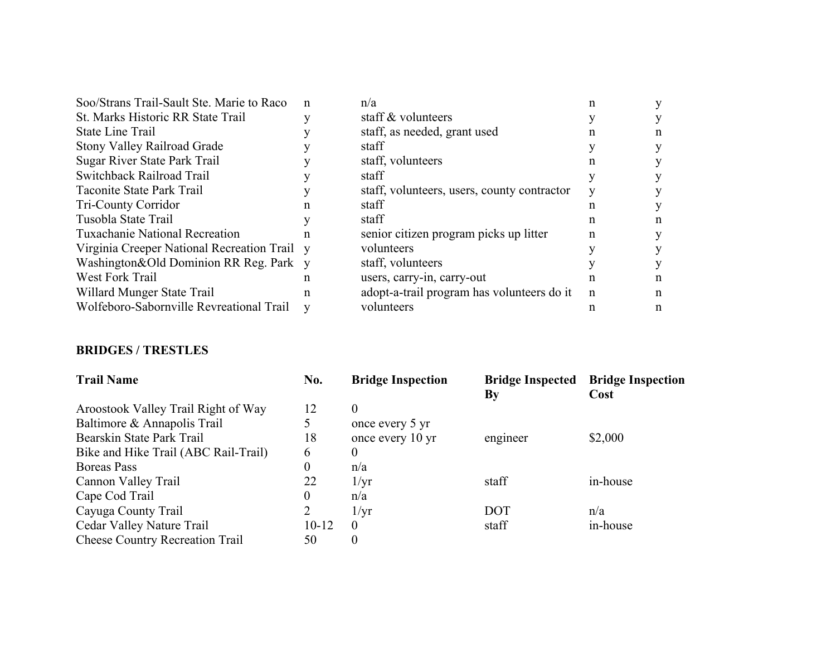| Soo/Strans Trail-Sault Ste. Marie to Raco  | n | n/a                                         | n           |   |
|--------------------------------------------|---|---------------------------------------------|-------------|---|
| St. Marks Historic RR State Trail          |   | staff & volunteers                          |             | У |
| <b>State Line Trail</b>                    |   | staff, as needed, grant used                |             | n |
| <b>Stony Valley Railroad Grade</b>         |   | staff                                       |             | У |
| Sugar River State Park Trail               |   | staff, volunteers                           |             | y |
| Switchback Railroad Trail                  |   | staff                                       |             | y |
| Taconite State Park Trail                  |   | staff, volunteers, users, county contractor |             | V |
| <b>Tri-County Corridor</b>                 | n | staff                                       | n           | У |
| Tusobla State Trail                        |   | staff                                       | n           | n |
| <b>Tuxachanie National Recreation</b>      | n | senior citizen program picks up litter      | n           | y |
| Virginia Creeper National Recreation Trail | V | volunteers                                  |             | y |
| Washington&Old Dominion RR Reg. Park       | V | staff, volunteers                           |             | Y |
| West Fork Trail                            | n | users, carry-in, carry-out                  | n           | n |
| Willard Munger State Trail                 | n | adopt-a-trail program has volunteers do it  | $\mathbf n$ | n |
| Wolfeboro-Sabornville Revreational Trail   | V | volunteers                                  | n           | n |
|                                            |   |                                             |             |   |

#### **BRIDGES / TRESTLES**

| <b>Trail Name</b>                      | No.              | <b>Bridge Inspection</b> | By         | <b>Bridge Inspected Bridge Inspection</b><br>Cost |
|----------------------------------------|------------------|--------------------------|------------|---------------------------------------------------|
| Aroostook Valley Trail Right of Way    | 12               | $\theta$                 |            |                                                   |
| Baltimore & Annapolis Trail            | 5                | once every 5 yr          |            |                                                   |
| Bearskin State Park Trail              | 18               | once every 10 yr         | engineer   | \$2,000                                           |
| Bike and Hike Trail (ABC Rail-Trail)   | 6                | 0                        |            |                                                   |
| Boreas Pass                            | $\boldsymbol{0}$ | n/a                      |            |                                                   |
| Cannon Valley Trail                    | 22               | $1/\mathrm{yr}$          | staff      | in-house                                          |
| Cape Cod Trail                         | $\boldsymbol{0}$ | n/a                      |            |                                                   |
| Cayuga County Trail                    | 2                | $1/\mathrm{yr}$          | <b>DOT</b> | n/a                                               |
| Cedar Valley Nature Trail              | $10 - 12$        | $\overline{0}$           | staff      | in-house                                          |
| <b>Cheese Country Recreation Trail</b> | 50               | 0                        |            |                                                   |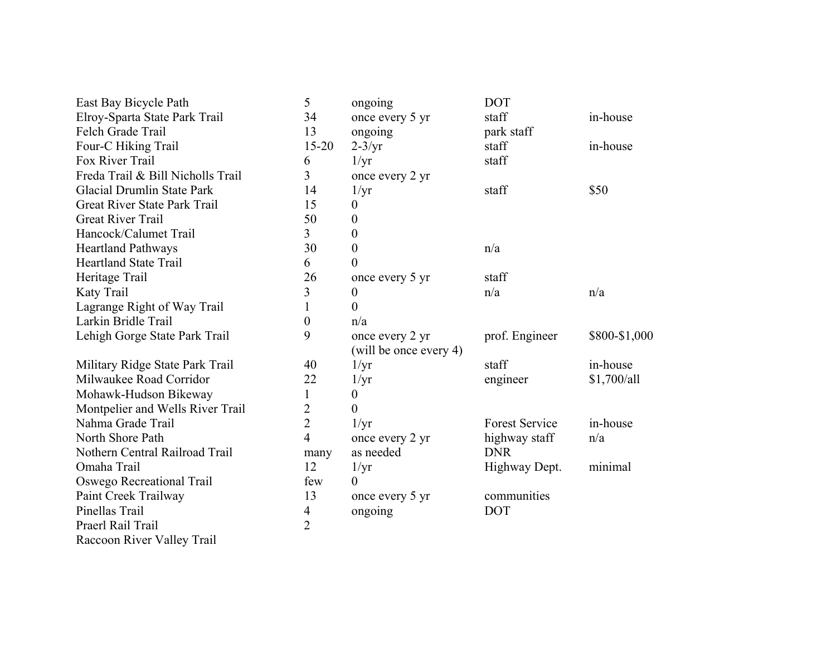| East Bay Bicycle Path                | 5                       | ongoing                | <b>DOT</b>            |               |
|--------------------------------------|-------------------------|------------------------|-----------------------|---------------|
| Elroy-Sparta State Park Trail        | 34                      | once every 5 yr        | staff                 | in-house      |
| Felch Grade Trail                    | 13                      | ongoing                | park staff            |               |
| Four-C Hiking Trail                  | $15 - 20$               | $2-3/yr$               | staff                 | in-house      |
| Fox River Trail                      | 6                       | 1/yr                   | staff                 |               |
| Freda Trail & Bill Nicholls Trail    | $\overline{\mathbf{3}}$ | once every 2 yr        |                       |               |
| <b>Glacial Drumlin State Park</b>    | 14                      | $1/\text{yr}$          | staff                 | \$50          |
| Great River State Park Trail         | 15                      | 0                      |                       |               |
| <b>Great River Trail</b>             | 50                      | $\boldsymbol{0}$       |                       |               |
| Hancock/Calumet Trail                | 3                       | $\boldsymbol{0}$       |                       |               |
| <b>Heartland Pathways</b>            | 30                      | $\boldsymbol{0}$       | n/a                   |               |
| <b>Heartland State Trail</b>         | 6                       | $\overline{0}$         |                       |               |
| Heritage Trail                       | 26                      | once every 5 yr        | staff                 |               |
| Katy Trail                           | 3                       | $\boldsymbol{0}$       | n/a                   | n/a           |
| Lagrange Right of Way Trail          | 1                       | $\overline{0}$         |                       |               |
| Larkin Bridle Trail                  | $\boldsymbol{0}$        | n/a                    |                       |               |
| Lehigh Gorge State Park Trail        | 9                       | once every 2 yr        | prof. Engineer        | \$800-\$1,000 |
|                                      |                         | (will be once every 4) |                       |               |
| Military Ridge State Park Trail      | 40                      | 1/yr                   | staff                 | in-house      |
| Milwaukee Road Corridor              | 22                      | 1/yr                   | engineer              | \$1,700/all   |
| Mohawk-Hudson Bikeway                | 1                       | 0                      |                       |               |
| Montpelier and Wells River Trail     | $\overline{2}$          | $\overline{0}$         |                       |               |
| Nahma Grade Trail                    | $\overline{2}$          | $1/\text{yr}$          | <b>Forest Service</b> | in-house      |
| North Shore Path                     | $\overline{4}$          | once every 2 yr        | highway staff         | n/a           |
| Nothern Central Railroad Trail       | many                    | as needed              | <b>DNR</b>            |               |
| Omaha Trail                          | 12                      | $1/\text{yr}$          | Highway Dept.         | minimal       |
| Oswego Recreational Trail            | few                     | $\theta$               |                       |               |
| Paint Creek Trailway                 | 13                      | once every 5 yr        | communities           |               |
| Pinellas Trail                       | 4                       | ongoing                | <b>DOT</b>            |               |
| Praerl Rail Trail                    | $\overline{2}$          |                        |                       |               |
| <b>TT</b> 11 TD 11<br>$\mathbf{D}$ . |                         |                        |                       |               |

Raccoon River Valley Trail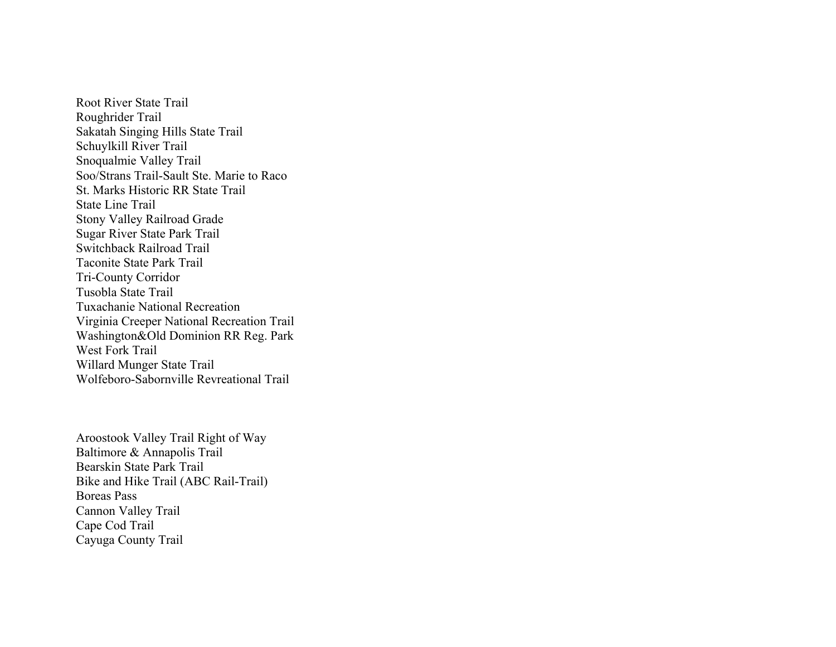Root River State Trail Roughrider Trail Sakatah Singing Hills State Trail Schuylkill River Trail Snoqualmie Valley Trail Soo/Strans Trail-Sault Ste. Marie to Raco St. Marks Historic RR State Trail State Line Trail Stony Valley Railroad Grade Sugar River State Park Trail Switchback Railroad Trail Taconite State Park Trail Tri-County Corridor Tusobla State Trail Tuxachanie National Recreation Virginia Creeper National Recreation Trail Washington&Old Dominion RR Reg. Park West Fork Trail Willard Munger State Trail Wolfeboro-Sabornville Revreational Trail

Aroostook Valley Trail Right of Way Baltimore & Annapolis Trail Bearskin State Park Trail Bike and Hike Trail (ABC Rail-Trail) Boreas Pass Cannon Valley Trail Cape Cod Trail Cayuga County Trail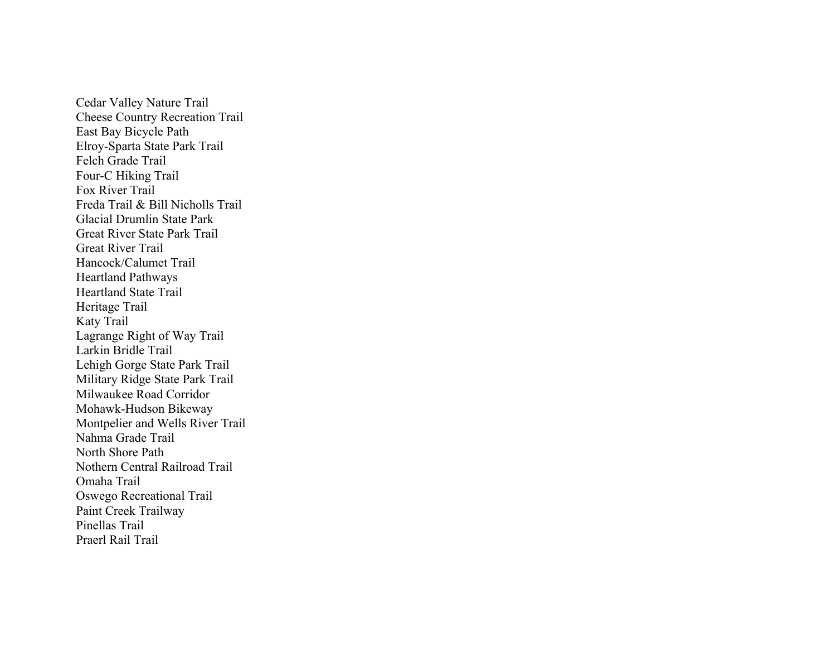Cedar Valley Nature Trail Cheese Country Recreation Trail East Bay Bicycle Path Elroy-Sparta State Park Trail Felch Grade Trail Four-C Hiking Trail Fox River Trail Freda Trail & Bill Nicholls Trail Glacial Drumlin State Park Great River State Park Trail Great River Trail Hancock/Calumet Trail Heartland Pathways Heartland State Trail Heritage Trail Katy Trail Lagrange Right of Way Trail Larkin Bridle Trail Lehigh Gorge State Park Trail Military Ridge State Park Trail Milwaukee Road Corridor Mohawk-Hudson Bikeway Montpelier and Wells River Trail Nahma Grade Trail North Shore Path Nothern Central Railroad Trail Omaha Trail Oswego Recreational Trail Paint Creek Trailway Pinellas Trail Praerl Rail Trail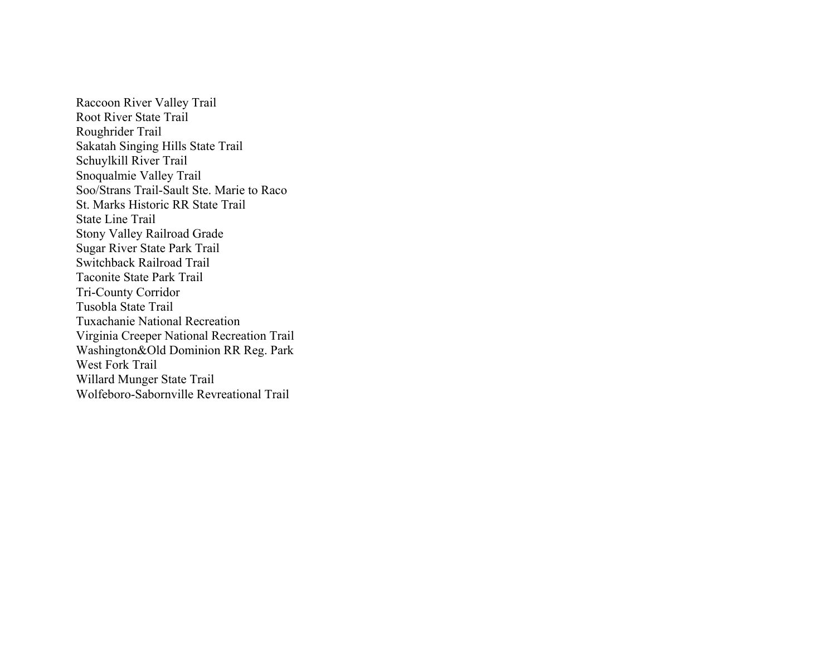Raccoon River Valley Trail Root River State Trail Roughrider Trail Sakatah Singing Hills State Trail Schuylkill River Trail Snoqualmie Valley Trail Soo/Strans Trail-Sault Ste. Marie to Raco St. Marks Historic RR State Trail State Line Trail Stony Valley Railroad Grade Sugar River State Park Trail Switchback Railroad Trail Taconite State Park Trail Tri-County Corridor Tusobla State Trail Tuxachanie National Recreation Virginia Creeper National Recreation Trail Washington&Old Dominion RR Reg. Park West Fork Trail Willard Munger State Trail Wolfeboro-Sabornville Revreational Trail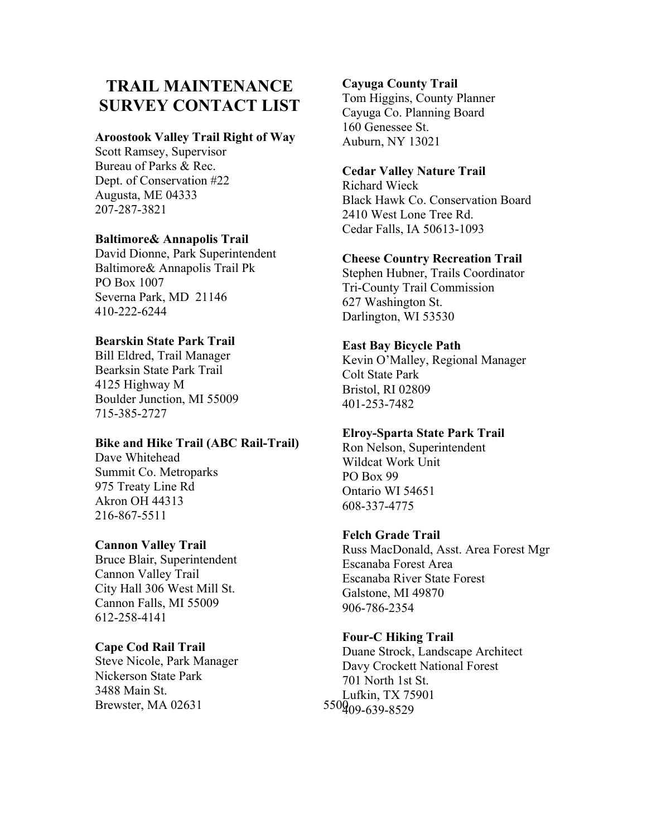# **TRAIL MAINTENANCE SURVEY CONTACT LIST**

#### **Aroostook Valley Trail Right of Way**

Scott Ramsey, Supervisor Bureau of Parks & Rec. Dept. of Conservation #22 Augusta, ME 04333 207-287-3821

# **Baltimore& Annapolis Trail**

David Dionne, Park Superintendent Baltimore& Annapolis Trail Pk PO Box 1007 Severna Park, MD 21146 410-222-6244

# **Bearskin State Park Trail**

Bill Eldred, Trail Manager Bearksin State Park Trail 4125 Highway M Boulder Junction, MI 55009 715-385-2727

#### **Bike and Hike Trail (ABC Rail-Trail)**

Dave Whitehead Summit Co. Metroparks 975 Treaty Line Rd Akron OH 44313 216-867-5511

#### **Cannon Valley Trail**

Bruce Blair, Superintendent Cannon Valley Trail City Hall 306 West Mill St. Cannon Falls, MI 55009 612-258-4141

#### **Cape Cod Rail Trail**

Steve Nicole, Park Manager Nickerson State Park 3488 Main St. Brewster, MA 02631 550 $\frac{1}{409-639-8529}$ 

## **Cayuga County Trail**

Tom Higgins, County Planner Cayuga Co. Planning Board 160 Genessee St. Auburn, NY 13021

## **Cedar Valley Nature Trail**

Richard Wieck Black Hawk Co. Conservation Board 2410 West Lone Tree Rd. Cedar Falls, IA 50613-1093

# **Cheese Country Recreation Trail**

Stephen Hubner, Trails Coordinator Tri-County Trail Commission 627 Washington St. Darlington, WI 53530

#### **East Bay Bicycle Path**

Kevin O'Malley, Regional Manager Colt State Park Bristol, RI 02809 401-253-7482

# **Elroy-Sparta State Park Trail**

Ron Nelson, Superintendent Wildcat Work Unit PO Box 99 Ontario WI 54651 608-337-4775

#### **Felch Grade Trail**

Russ MacDonald, Asst. Area Forest Mgr Escanaba Forest Area Escanaba River State Forest Galstone, MI 49870 906-786-2354

#### **Four-C Hiking Trail**

Duane Strock, Landscape Architect Davy Crockett National Forest 701 North 1st St. Lufkin, TX 75901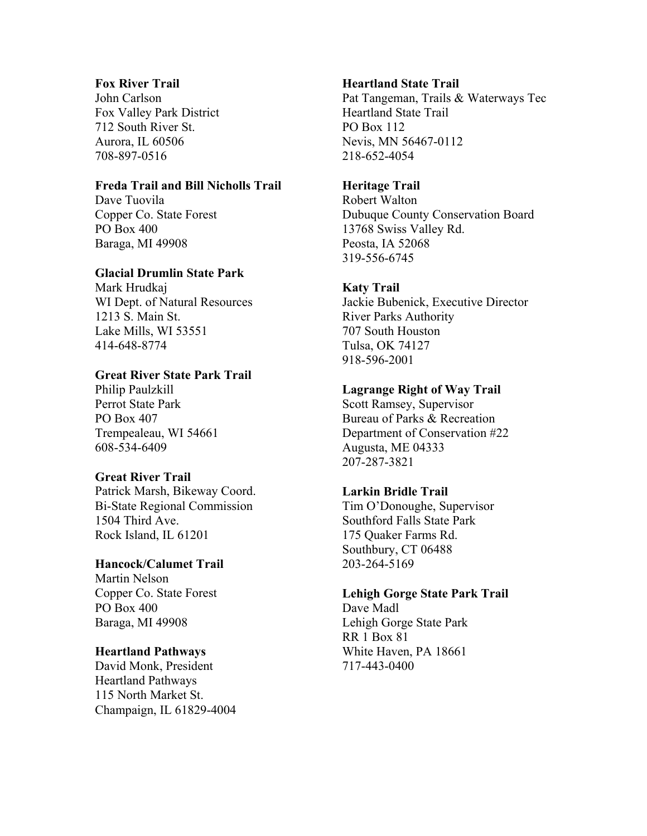# **Fox River Trail**

John Carlson Fox Valley Park District 712 South River St. Aurora, IL 60506 708-897-0516

# **Freda Trail and Bill Nicholls Trail**

Dave Tuovila Copper Co. State Forest PO Box 400 Baraga, MI 49908

#### **Glacial Drumlin State Park**

Mark Hrudkaj WI Dept. of Natural Resources 1213 S. Main St. Lake Mills, WI 53551 414-648-8774

# **Great River State Park Trail**

Philip Paulzkill Perrot State Park PO Box 407 Trempealeau, WI 54661 608-534-6409

#### **Great River Trail**

Patrick Marsh, Bikeway Coord. Bi-State Regional Commission 1504 Third Ave. Rock Island, IL 61201

# **Hancock/Calumet Trail**

Martin Nelson Copper Co. State Forest PO Box 400 Baraga, MI 49908

#### **Heartland Pathways**

David Monk, President Heartland Pathways 115 North Market St. Champaign, IL 61829-4004

### **Heartland State Trail**

Pat Tangeman, Trails & Waterways Tec Heartland State Trail PO Box 112 Nevis, MN 56467-0112 218-652-4054

# **Heritage Trail**

Robert Walton Dubuque County Conservation Board 13768 Swiss Valley Rd. Peosta, IA 52068 319-556-6745

# **Katy Trail**

Jackie Bubenick, Executive Director River Parks Authority 707 South Houston Tulsa, OK 74127 918-596-2001

# **Lagrange Right of Way Trail**

Scott Ramsey, Supervisor Bureau of Parks & Recreation Department of Conservation #22 Augusta, ME 04333 207-287-3821

# **Larkin Bridle Trail**

Tim O'Donoughe, Supervisor Southford Falls State Park 175 Quaker Farms Rd. Southbury, CT 06488 203-264-5169

# **Lehigh Gorge State Park Trail**

Dave Madl Lehigh Gorge State Park RR 1 Box 81 White Haven, PA 18661 717-443-0400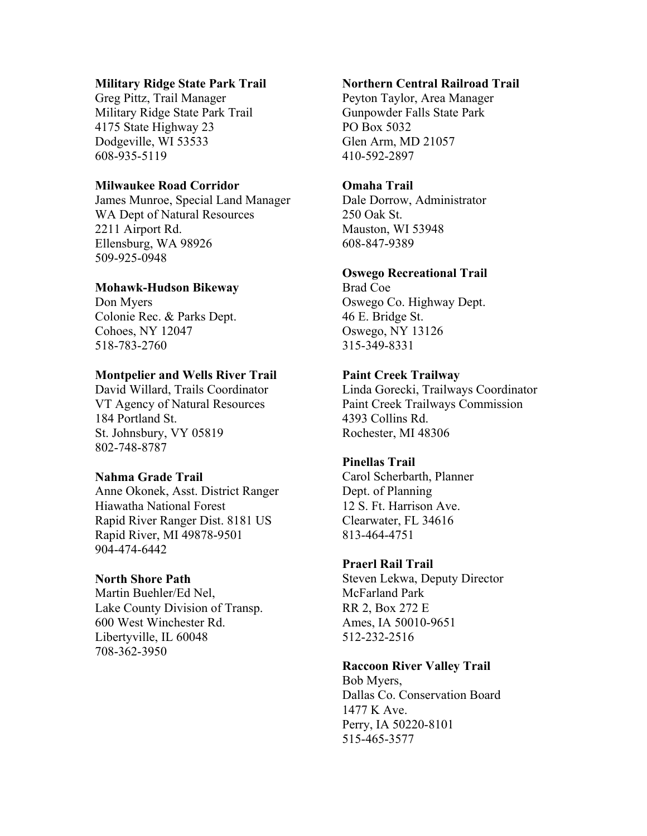#### **Military Ridge State Park Trail**

Greg Pittz, Trail Manager Military Ridge State Park Trail 4175 State Highway 23 Dodgeville, WI 53533 608-935-5119

# **Milwaukee Road Corridor**

James Munroe, Special Land Manager WA Dept of Natural Resources 2211 Airport Rd. Ellensburg, WA 98926 509-925-0948

# **Mohawk-Hudson Bikeway**

Don Myers Colonie Rec. & Parks Dept. Cohoes, NY 12047 518-783-2760

# **Montpelier and Wells River Trail**

David Willard, Trails Coordinator VT Agency of Natural Resources 184 Portland St. St. Johnsbury, VY 05819 802-748-8787

#### **Nahma Grade Trail**

Anne Okonek, Asst. District Ranger Hiawatha National Forest Rapid River Ranger Dist. 8181 US Rapid River, MI 49878-9501 904-474-6442

# **North Shore Path**

Martin Buehler/Ed Nel, Lake County Division of Transp. 600 West Winchester Rd. Libertyville, IL 60048 708-362-3950

# **Northern Central Railroad Trail**

Peyton Taylor, Area Manager Gunpowder Falls State Park PO Box 5032 Glen Arm, MD 21057 410-592-2897

# **Omaha Trail**

Dale Dorrow, Administrator 250 Oak St. Mauston, WI 53948 608-847-9389

# **Oswego Recreational Trail**

Brad Coe Oswego Co. Highway Dept. 46 E. Bridge St. Oswego, NY 13126 315-349-8331

# **Paint Creek Trailway**

Linda Gorecki, Trailways Coordinator Paint Creek Trailways Commission 4393 Collins Rd. Rochester, MI 48306

# **Pinellas Trail**

Carol Scherbarth, Planner Dept. of Planning 12 S. Ft. Harrison Ave. Clearwater, FL 34616 813-464-4751

#### **Praerl Rail Trail**

Steven Lekwa, Deputy Director McFarland Park RR 2, Box 272 E Ames, IA 50010-9651 512-232-2516

# **Raccoon River Valley Trail**

Bob Myers, Dallas Co. Conservation Board 1477 K Ave. Perry, IA 50220-8101 515-465-3577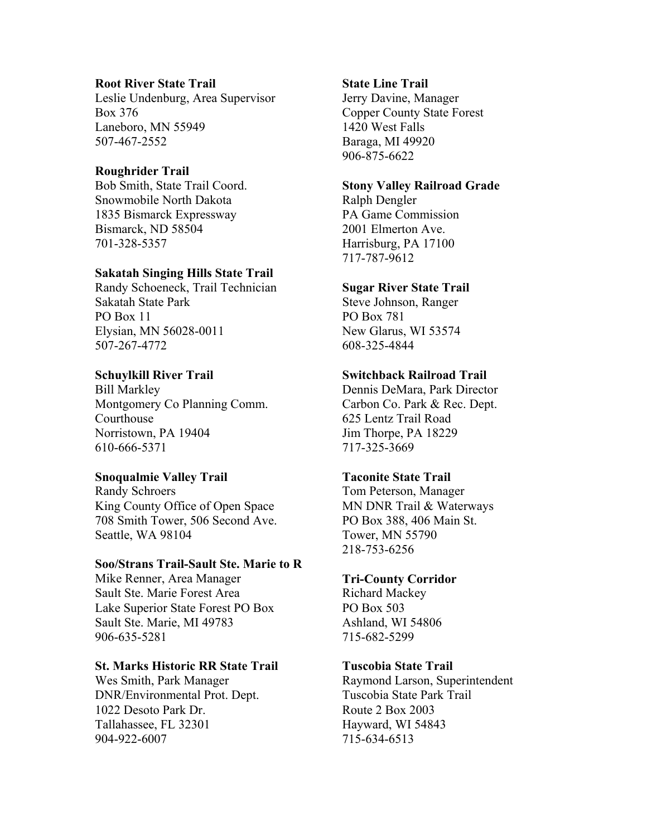# **Root River State Trail**

Leslie Undenburg, Area Supervisor Box 376 Laneboro, MN 55949 507-467-2552

# **Roughrider Trail**

Bob Smith, State Trail Coord. Snowmobile North Dakota 1835 Bismarck Expressway Bismarck, ND 58504 701-328-5357

#### **Sakatah Singing Hills State Trail**

Randy Schoeneck, Trail Technician Sakatah State Park PO Box 11 Elysian, MN 56028-0011 507-267-4772

# **Schuylkill River Trail**

Bill Markley Montgomery Co Planning Comm. Courthouse Norristown, PA 19404 610-666-5371

# **Snoqualmie Valley Trail**

Randy Schroers King County Office of Open Space 708 Smith Tower, 506 Second Ave. Seattle, WA 98104

# **Soo/Strans Trail-Sault Ste. Marie to R**

Mike Renner, Area Manager Sault Ste. Marie Forest Area Lake Superior State Forest PO Box Sault Ste. Marie, MI 49783 906-635-5281

#### **St. Marks Historic RR State Trail**

Wes Smith, Park Manager DNR/Environmental Prot. Dept. 1022 Desoto Park Dr. Tallahassee, FL 32301 904-922-6007

#### **State Line Trail**

Jerry Davine, Manager Copper County State Forest 1420 West Falls Baraga, MI 49920 906-875-6622

# **Stony Valley Railroad Grade**

Ralph Dengler PA Game Commission 2001 Elmerton Ave. Harrisburg, PA 17100 717-787-9612

#### **Sugar River State Trail**

Steve Johnson, Ranger PO Box 781 New Glarus, WI 53574 608-325-4844

#### **Switchback Railroad Trail**

Dennis DeMara, Park Director Carbon Co. Park & Rec. Dept. 625 Lentz Trail Road Jim Thorpe, PA 18229 717-325-3669

#### **Taconite State Trail**

Tom Peterson, Manager MN DNR Trail & Waterways PO Box 388, 406 Main St. Tower, MN 55790 218-753-6256

#### **Tri-County Corridor**

Richard Mackey PO Box 503 Ashland, WI 54806 715-682-5299

#### **Tuscobia State Trail**

Raymond Larson, Superintendent Tuscobia State Park Trail Route 2 Box 2003 Hayward, WI 54843 715-634-6513